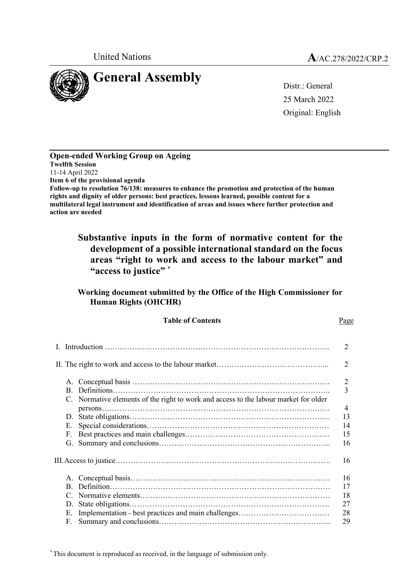

25 March 2022 Original: English

**Open-ended Working Group on Ageing Twelfth Session** 11-14 April 2022 **Item 6 of the provisional agenda Follow-up to resolution 76/138: measures to enhance the promotion and protection of the human rights and dignity of older persons: best practices, lessons learned, possible content for a multilateral legal instrument and identification of areas and issues where further protection and action are needed**

# **Substantive inputs in the form of normative content for the development of a possible international standard on the focus areas "right to work and access to the labour market" and "access to justice" \***

### **Working document submitted by the Office of the High Commissioner for Human Rights (OHCHR)**

Table of Contents **Page** 

|    |          |                                                                                      | 2                           |
|----|----------|--------------------------------------------------------------------------------------|-----------------------------|
|    |          |                                                                                      | $\mathcal{D}_{\mathcal{L}}$ |
|    | $\bf{B}$ |                                                                                      | $\overline{2}$<br>3         |
|    |          | C. Normative elements of the right to work and access to the labour market for older | $\overline{4}$              |
|    | D.       |                                                                                      | 13                          |
|    | Е.       |                                                                                      | 14                          |
|    | F.       |                                                                                      | 15                          |
|    | G.       |                                                                                      | 16                          |
| 16 |          |                                                                                      |                             |
|    |          |                                                                                      | 16                          |
|    | B.       |                                                                                      | 17                          |
|    | C        |                                                                                      | 18                          |
|    | D.       |                                                                                      | 27                          |
|    | Е.       |                                                                                      | 28                          |
|    | F.       |                                                                                      | 29                          |

\* This document is reproduced as received, in the language of submission only.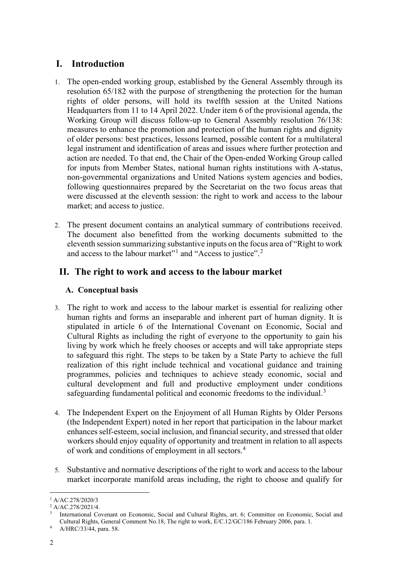# **I. Introduction**

- 1. The open-ended working group, established by the General Assembly through its resolution 65/182 with the purpose of strengthening the protection for the human rights of older persons, will hold its twelfth session at the United Nations Headquarters from 11 to 14 April 2022. Under item 6 of the provisional agenda, the Working Group will discuss follow-up to General Assembly resolution 76/138: measures to enhance the promotion and protection of the human rights and dignity of older persons: best practices, lessons learned, possible content for a multilateral legal instrument and identification of areas and issues where further protection and action are needed. To that end, the Chair of the Open-ended Working Group called for inputs from Member States, national human rights institutions with A-status, non-governmental organizations and United Nations system agencies and bodies, following questionnaires prepared by the Secretariat on the two focus areas that were discussed at the eleventh session: the right to work and access to the labour market; and access to justice.
- 2. The present document contains an analytical summary of contributions received. The document also benefitted from the working documents submitted to the eleventh session summarizing substantive inputs on the focus area of "Right to work and access to the labour market"<sup>[1](#page-1-0)</sup> and "Access to justice".<sup>[2](#page-1-1)</sup>

# **II. The right to work and access to the labour market**

# **A. Conceptual basis**

- 3. The right to work and access to the labour market is essential for realizing other human rights and forms an inseparable and inherent part of human dignity. It is stipulated in article 6 of the International Covenant on Economic, Social and Cultural Rights as including the right of everyone to the opportunity to gain his living by work which he freely chooses or accepts and will take appropriate steps to safeguard this right. The steps to be taken by a State Party to achieve the full realization of this right include technical and vocational guidance and training programmes, policies and techniques to achieve steady economic, social and cultural development and full and productive employment under conditions safeguarding fundamental political and economic freedoms to the individual.<sup>[3](#page-1-2)</sup>
- 4. The Independent Expert on the Enjoyment of all Human Rights by Older Persons (the Independent Expert) noted in her report that participation in the labour market enhances self-esteem, social inclusion, and financial security, and stressed that older workers should enjoy equality of opportunity and treatment in relation to all aspects of work and conditions of employment in all sectors.<sup>[4](#page-1-3)</sup>
- 5. Substantive and normative descriptions of the right to work and access to the labour market incorporate manifold areas including, the right to choose and qualify for

<span id="page-1-0"></span><sup>1</sup> A/AC.278/2020/3

<span id="page-1-2"></span><span id="page-1-1"></span><sup>2</sup> A/AC.278/2021/4.

<sup>3</sup> International Covenant on Economic, Social and Cultural Rights, art. 6; Committee on Economic, Social and Cultural Rights, General Comment No.18, The right to work, E/C.12/GC/186 February 2006, para. 1.

<span id="page-1-3"></span>A/HRC/33/44, para. 58.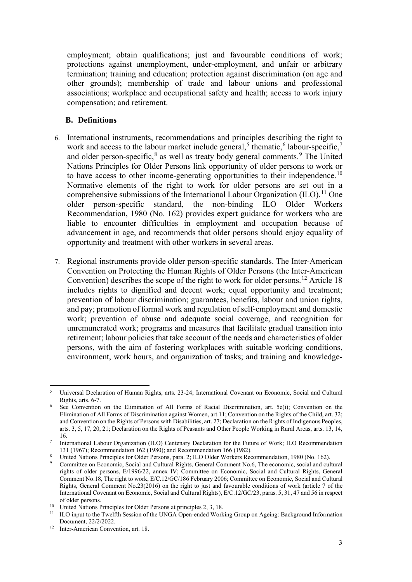employment; obtain qualifications; just and favourable conditions of work; protections against unemployment, under-employment, and unfair or arbitrary termination; training and education; protection against discrimination (on age and other grounds); membership of trade and labour unions and professional associations; workplace and occupational safety and health; access to work injury compensation; and retirement.

#### **B. Definitions**

- 6. International instruments, recommendations and principles describing the right to work and access to the labour market include general,<sup>[5](#page-2-0)</sup> thematic,<sup>[6](#page-2-1)</sup> labour-specific,<sup>[7](#page-2-2)</sup> and older person-specific,<sup>[8](#page-2-3)</sup> as well as treaty body general comments.<sup>[9](#page-2-4)</sup> The United Nations Principles for Older Persons link opportunity of older persons to work or to have access to other income-generating opportunities to their independence.<sup>[10](#page-2-5)</sup> Normative elements of the right to work for older persons are set out in a comprehensive submissions of the International Labour Organization  $(IIO)^{11}$  $(IIO)^{11}$  $(IIO)^{11}$  One older person-specific standard, the non-binding ILO Older Workers Recommendation, 1980 (No. 162) provides expert guidance for workers who are liable to encounter difficulties in employment and occupation because of advancement in age, and recommends that older persons should enjoy equality of opportunity and treatment with other workers in several areas.
- 7. Regional instruments provide older person-specific standards. The Inter-American Convention on Protecting the Human Rights of Older Persons (the Inter-American Convention) describes the scope of the right to work for older persons.<sup>[12](#page-2-7)</sup> Article 18 includes rights to dignified and decent work; equal opportunity and treatment; prevention of labour discrimination; guarantees, benefits, labour and union rights, and pay; promotion of formal work and regulation of self-employment and domestic work; prevention of abuse and adequate social coverage, and recognition for unremunerated work; programs and measures that facilitate gradual transition into retirement; labour policies that take account of the needs and characteristics of older persons, with the aim of fostering workplaces with suitable working conditions, environment, work hours, and organization of tasks; and training and knowledge-

<span id="page-2-0"></span><sup>5</sup> Universal Declaration of Human Rights, arts. 23-24; International Covenant on Economic, Social and Cultural Rights, arts. 6-7.<br>See Convention on the Elimination of All Forms of Racial Discrimination, art. 5e(i); Convention on the

<span id="page-2-1"></span>Elimination of All Forms of Discrimination against Women, art.11; Convention on the Rights of the Child, art. 32; and Convention on the Rights of Persons with Disabilities, art. 27; Declaration on the Rights of Indigenous Peoples, arts. 3, 5, 17, 20, 21; Declaration on the Rights of Peasants and Other People Working in Rural Areas, arts. 13, 14, 16.

<span id="page-2-2"></span><sup>7</sup> International Labour Organization (ILO) Centenary Declaration for the Future of Work; ILO Recommendation 131 (1967); Recommendation 162 (1980); and Recommendation 166 (1982).

<span id="page-2-3"></span><sup>8</sup> United Nations Principles for Older Persons, para. 2; ILO Older Workers Recommendation, 1980 (No. 162).

<span id="page-2-4"></span><sup>9</sup> Committee on Economic, Social and Cultural Rights, General Comment No.6, The economic, social and cultural rights of older persons, E/1996/22, annex IV; Committee on Economic, Social and Cultural Rights, General Comment No.18, The right to work, E/C.12/GC/186 February 2006; Committee on Economic, Social and Cultural Rights, General Comment No.23(2016) on the right to just and favourable conditions of work (article 7 of the International Covenant on Economic, Social and Cultural Rights), E/C.12/GC/23, paras. 5, 31, 47 and 56 in respect of older persons.

<span id="page-2-6"></span><span id="page-2-5"></span><sup>&</sup>lt;sup>10</sup> United Nations Principles for Older Persons at principles 2, 3, 18.<br><sup>11</sup> U.O. input to the Twelfth Session of the UNGA Open anded Work

<sup>11</sup> ILO input to the Twelfth Session of the UNGA Open-ended Working Group on Ageing: Background Information Document, 22/2/2022.

<span id="page-2-7"></span><sup>&</sup>lt;sup>12</sup> Inter-American Convention, art. 18.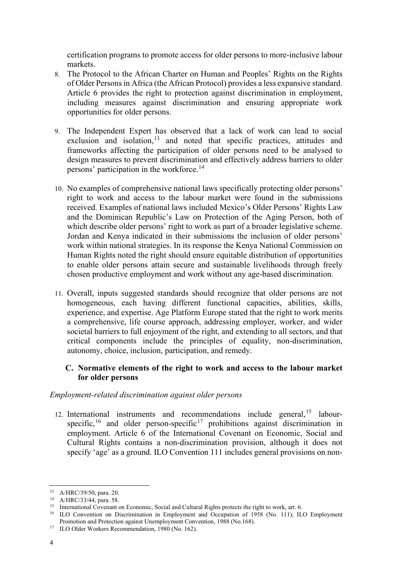certification programs to promote access for older persons to more-inclusive labour markets.

- 8. The Protocol to the African Charter on Human and Peoples' Rights on the Rights of Older Persons in Africa (the African Protocol) provides a less expansive standard. Article 6 provides the right to protection against discrimination in employment, including measures against discrimination and ensuring appropriate work opportunities for older persons.
- 9. The Independent Expert has observed that a lack of work can lead to social exclusion and isolation,<sup>[13](#page-3-0)</sup> and noted that specific practices, attitudes and frameworks affecting the participation of older persons need to be analysed to design measures to prevent discrimination and effectively address barriers to older persons' participation in the workforce.<sup>[14](#page-3-1)</sup>
- 10. No examples of comprehensive national laws specifically protecting older persons' right to work and access to the labour market were found in the submissions received. Examples of national laws included Mexico's Older Persons' Rights Law and the Dominican Republic's Law on Protection of the Aging Person, both of which describe older persons' right to work as part of a broader legislative scheme. Jordan and Kenya indicated in their submissions the inclusion of older persons' work within national strategies. In its response the Kenya National Commission on Human Rights noted the right should ensure equitable distribution of opportunities to enable older persons attain secure and sustainable livelihoods through freely chosen productive employment and work without any age-based discrimination.
- 11. Overall, inputs suggested standards should recognize that older persons are not homogeneous, each having different functional capacities, abilities, skills, experience, and expertise. Age Platform Europe stated that the right to work merits a comprehensive, life course approach, addressing employer, worker, and wider societal barriers to full enjoyment of the right, and extending to all sectors, and that critical components include the principles of equality, non-discrimination, autonomy, choice, inclusion, participation, and remedy.

## **C. Normative elements of the right to work and access to the labour market for older persons**

## *Employment-related discrimination against older persons*

12. International instruments and recommendations include general,<sup>[15](#page-3-2)</sup> labourspecific,  $16$  and older person-specific  $17$  prohibitions against discrimination in employment. Article 6 of the International Covenant on Economic, Social and Cultural Rights contains a non-discrimination provision, although it does not specify 'age' as a ground. ILO Convention 111 includes general provisions on non-

<span id="page-3-0"></span><sup>13</sup> A/HRC/39/50, para. 20.

<span id="page-3-1"></span><sup>14</sup> A/HRC/33/44, para. 58.

<span id="page-3-2"></span><sup>&</sup>lt;sup>15</sup> International Covenant on Economic, Social and Cultural Rights protects the right to work, art. 6.

<span id="page-3-3"></span><sup>&</sup>lt;sup>16</sup> ILO Convention on Discrimination in Employment and Occupation of 1958 (No. 111); ILO Employment Promotion and Protection against Unemployment Convention, 1988 (No.168). 17 ILO Older Workers Recommendation, 1980 (No. 162).

<span id="page-3-4"></span>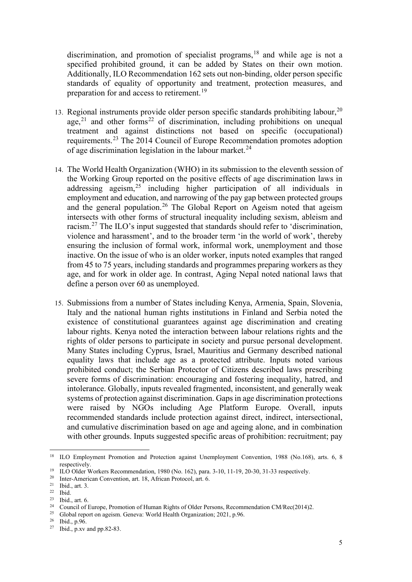discrimination, and promotion of specialist programs,<sup>[18](#page-4-0)</sup> and while age is not a specified prohibited ground, it can be added by States on their own motion. Additionally, ILO Recommendation 162 sets out non-binding, older person specific standards of equality of opportunity and treatment, protection measures, and preparation for and access to retirement.<sup>[19](#page-4-1)</sup>

- 13. Regional instruments provide older person specific standards prohibiting labour.<sup>[20](#page-4-2)</sup> age,  $21$  and other forms  $22$  of discrimination, including prohibitions on unequal treatment and against distinctions not based on specific (occupational) requirements.<sup>[23](#page-4-5)</sup> The 2014 Council of Europe Recommendation promotes adoption of age discrimination legislation in the labour market.<sup>24</sup>
- 14. The World Health Organization (WHO) in its submission to the eleventh session of the Working Group reported on the positive effects of age discrimination laws in addressing ageism, $25$  including higher participation of all individuals in employment and education, and narrowing of the pay gap between protected groups and the general population.<sup>[26](#page-4-8)</sup> The Global Report on Ageism noted that ageism intersects with other forms of structural inequality including sexism, ableism and racism.[27](#page-4-9) The ILO's input suggested that standards should refer to 'discrimination, violence and harassment', and to the broader term 'in the world of work', thereby ensuring the inclusion of formal work, informal work, unemployment and those inactive. On the issue of who is an older worker, inputs noted examples that ranged from 45 to 75 years, including standards and programmes preparing workers as they age, and for work in older age. In contrast, Aging Nepal noted national laws that define a person over 60 as unemployed.
- 15. Submissions from a number of States including Kenya, Armenia, Spain, Slovenia, Italy and the national human rights institutions in Finland and Serbia noted the existence of constitutional guarantees against age discrimination and creating labour rights. Kenya noted the interaction between labour relations rights and the rights of older persons to participate in society and pursue personal development. Many States including Cyprus, Israel, Mauritius and Germany described national equality laws that include age as a protected attribute. Inputs noted various prohibited conduct; the Serbian Protector of Citizens described laws prescribing severe forms of discrimination: encouraging and fostering inequality, hatred, and intolerance. Globally, inputs revealed fragmented, inconsistent, and generally weak systems of protection against discrimination. Gaps in age discrimination protections were raised by NGOs including Age Platform Europe. Overall, inputs recommended standards include protection against direct, indirect, intersectional, and cumulative discrimination based on age and ageing alone, and in combination with other grounds. Inputs suggested specific areas of prohibition: recruitment; pay

<span id="page-4-0"></span><sup>&</sup>lt;sup>18</sup> ILO Employment Promotion and Protection against Unemployment Convention, 1988 (No.168), arts. 6, 8 respectively.

<sup>&</sup>lt;sup>19</sup> ILO Older Workers Recommendation, 1980 (No. 162), para. 3-10, 11-19, 20-30, 31-33 respectively.<br><sup>20</sup> Inter-American Convention art 18 African Protocol art 6

<span id="page-4-2"></span><span id="page-4-1"></span><sup>&</sup>lt;sup>20</sup> Inter-American Convention, art. 18, African Protocol, art. 6.<br><sup>21</sup> Ibid. art. <sup>2</sup>

Ibid., art. 3.

<span id="page-4-4"></span><span id="page-4-3"></span> $22$  Ibid.

<span id="page-4-5"></span><sup>23</sup> Ibid., art. 6.

<span id="page-4-6"></span><sup>&</sup>lt;sup>24</sup> Council of Europe, Promotion of Human Rights of Older Persons, Recommendation CM/Rec(2014)2.

<span id="page-4-7"></span><sup>&</sup>lt;sup>25</sup> Global report on ageism. Geneva: World Health Organization; 2021, p.96.

<span id="page-4-8"></span><sup>26</sup> Ibid., p.96.

<span id="page-4-9"></span><sup>27</sup> Ibid., p.xv and pp.82-83.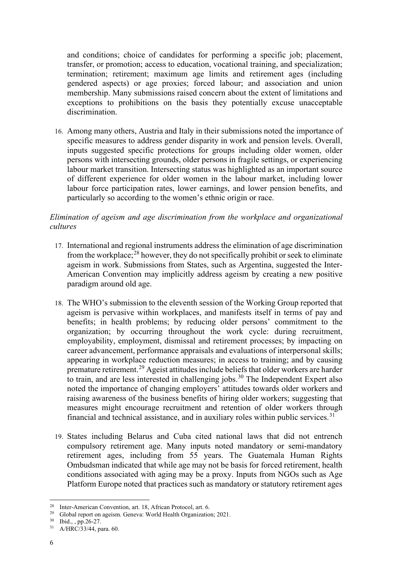and conditions; choice of candidates for performing a specific job; placement, transfer, or promotion; access to education, vocational training, and specialization; termination; retirement; maximum age limits and retirement ages (including gendered aspects) or age proxies; forced labour; and association and union membership. Many submissions raised concern about the extent of limitations and exceptions to prohibitions on the basis they potentially excuse unacceptable discrimination.

16. Among many others, Austria and Italy in their submissions noted the importance of specific measures to address gender disparity in work and pension levels. Overall, inputs suggested specific protections for groups including older women, older persons with intersecting grounds, older persons in fragile settings, or experiencing labour market transition. Intersecting status was highlighted as an important source of different experience for older women in the labour market, including lower labour force participation rates, lower earnings, and lower pension benefits, and particularly so according to the women's ethnic origin or race.

## *Elimination of ageism and age discrimination from the workplace and organizational cultures*

- 17. International and regional instruments address the elimination of age discrimination from the workplace;<sup>[28](#page-5-0)</sup> however, they do not specifically prohibit or seek to eliminate ageism in work. Submissions from States, such as Argentina, suggested the Inter-American Convention may implicitly address ageism by creating a new positive paradigm around old age.
- 18. The WHO's submission to the eleventh session of the Working Group reported that ageism is pervasive within workplaces, and manifests itself in terms of pay and benefits; in health problems; by reducing older persons' commitment to the organization; by occurring throughout the work cycle: during recruitment, employability, employment, dismissal and retirement processes; by impacting on career advancement, performance appraisals and evaluations of interpersonal skills; appearing in workplace reduction measures; in access to training; and by causing premature retirement.<sup>[29](#page-5-1)</sup> Ageist attitudes include beliefs that older workers are harder to train, and are less interested in challenging jobs.<sup>[30](#page-5-2)</sup> The Independent Expert also noted the importance of changing employers' attitudes towards older workers and raising awareness of the business benefits of hiring older workers; suggesting that measures might encourage recruitment and retention of older workers through financial and technical assistance, and in auxiliary roles within public services.<sup>[31](#page-5-3)</sup>
- 19. States including Belarus and Cuba cited national laws that did not entrench compulsory retirement age. Many inputs noted mandatory or semi-mandatory retirement ages, including from 55 years. The Guatemala Human Rights Ombudsman indicated that while age may not be basis for forced retirement, health conditions associated with aging may be a proxy. Inputs from NGOs such as Age Platform Europe noted that practices such as mandatory or statutory retirement ages

<span id="page-5-0"></span><sup>&</sup>lt;sup>28</sup> Inter-American Convention, art. 18, African Protocol, art. 6.<br><sup>29</sup> Global report on ageism. Geneva: World Health Organization; 2021.

<span id="page-5-2"></span><span id="page-5-1"></span><sup>30</sup> Ibid., , pp.26-27.

<span id="page-5-3"></span><sup>31</sup> A/HRC/33/44, para. 60.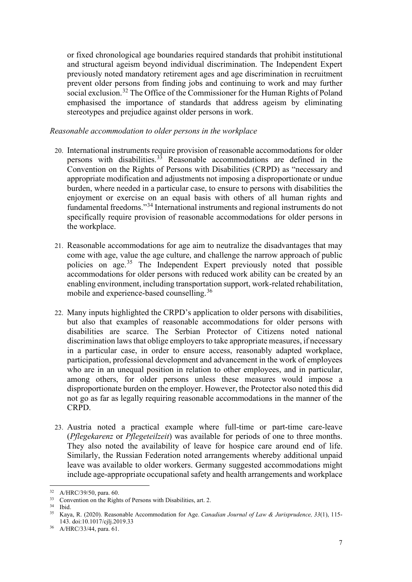or fixed chronological age boundaries required standards that prohibit institutional and structural ageism beyond individual discrimination. The Independent Expert previously noted mandatory retirement ages and age discrimination in recruitment prevent older persons from finding jobs and continuing to work and may further social exclusion.<sup>[32](#page-6-0)</sup> The Office of the Commissioner for the Human Rights of Poland emphasised the importance of standards that address ageism by eliminating stereotypes and prejudice against older persons in work.

### *Reasonable accommodation to older persons in the workplace*

- 20. International instruments require provision of reasonable accommodations for older persons with disabilities. [33](#page-6-1) Reasonable accommodations are defined in the Convention on the Rights of Persons with Disabilities (CRPD) as "necessary and appropriate modification and adjustments not imposing a disproportionate or undue burden, where needed in a particular case, to ensure to persons with disabilities the enjoyment or exercise on an equal basis with others of all human rights and fundamental freedoms."[34](#page-6-2) International instruments and regional instruments do not specifically require provision of reasonable accommodations for older persons in the workplace.
- 21. Reasonable accommodations for age aim to neutralize the disadvantages that may come with age, value the age culture, and challenge the narrow approach of public policies on age.[35](#page-6-3) The Independent Expert previously noted that possible accommodations for older persons with reduced work ability can be created by an enabling environment, including transportation support, work-related rehabilitation, mobile and experience-based counselling.[36](#page-6-4)
- 22. Many inputs highlighted the CRPD's application to older persons with disabilities, but also that examples of reasonable accommodations for older persons with disabilities are scarce. The Serbian Protector of Citizens noted national discrimination laws that oblige employers to take appropriate measures, if necessary in a particular case, in order to ensure access, reasonably adapted workplace, participation, professional development and advancement in the work of employees who are in an unequal position in relation to other employees, and in particular, among others, for older persons unless these measures would impose a disproportionate burden on the employer. However, the Protector also noted this did not go as far as legally requiring reasonable accommodations in the manner of the CRPD.
- 23. Austria noted a practical example where full-time or part-time care-leave (*Pflegekarenz* or *Pflegeteilzeit*) was available for periods of one to three months. They also noted the availability of leave for hospice care around end of life. Similarly, the Russian Federation noted arrangements whereby additional unpaid leave was available to older workers. Germany suggested accommodations might include age-appropriate occupational safety and health arrangements and workplace

<span id="page-6-0"></span><sup>32</sup> A/HRC/39/50, para. 60.

<span id="page-6-1"></span><sup>&</sup>lt;sup>33</sup> Convention on the Rights of Persons with Disabilities, art. 2.

<span id="page-6-3"></span><span id="page-6-2"></span> $34$  Ibid.<br> $35$  Kays

<sup>35</sup> Kaya, R. (2020). Reasonable Accommodation for Age. *Canadian Journal of Law & Jurisprudence, 33*(1), 115- 143. doi:10.1017/cjlj.2019.33

<span id="page-6-4"></span><sup>36</sup> A/HRC/33/44, para. 61.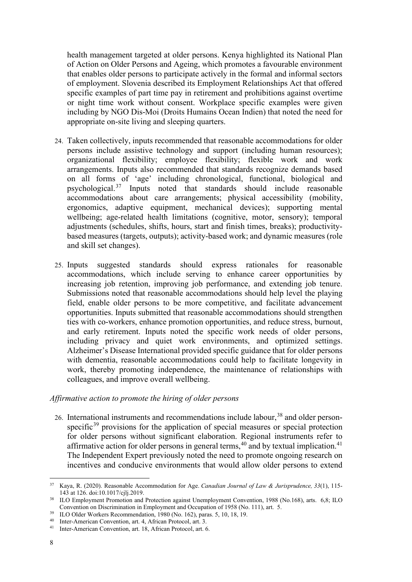health management targeted at older persons. Kenya highlighted its National Plan of Action on Older Persons and Ageing, which promotes a favourable environment that enables older persons to participate actively in the formal and informal sectors of employment. Slovenia described its Employment Relationships Act that offered specific examples of part time pay in retirement and prohibitions against overtime or night time work without consent. Workplace specific examples were given including by NGO Dis-Moi (Droits Humains Ocean Indien) that noted the need for appropriate on-site living and sleeping quarters.

- 24. Taken collectively, inputs recommended that reasonable accommodations for older persons include assistive technology and support (including human resources); organizational flexibility; employee flexibility; flexible work and work arrangements. Inputs also recommended that standards recognize demands based on all forms of 'age' including chronological, functional, biological and psychological.[37](#page-7-0) Inputs noted that standards should include reasonable accommodations about care arrangements; physical accessibility (mobility, ergonomics, adaptive equipment, mechanical devices); supporting mental wellbeing; age-related health limitations (cognitive, motor, sensory); temporal adjustments (schedules, shifts, hours, start and finish times, breaks); productivitybased measures (targets, outputs); activity-based work; and dynamic measures (role and skill set changes).
- 25. Inputs suggested standards should express rationales for reasonable accommodations, which include serving to enhance career opportunities by increasing job retention, improving job performance, and extending job tenure. Submissions noted that reasonable accommodations should help level the playing field, enable older persons to be more competitive, and facilitate advancement opportunities. Inputs submitted that reasonable accommodations should strengthen ties with co-workers, enhance promotion opportunities, and reduce stress, burnout, and early retirement. Inputs noted the specific work needs of older persons, including privacy and quiet work environments, and optimized settings. Alzheimer's Disease International provided specific guidance that for older persons with dementia, reasonable accommodations could help to facilitate longevity in work, thereby promoting independence, the maintenance of relationships with colleagues, and improve overall wellbeing.

### *Affirmative action to promote the hiring of older persons*

26. International instruments and recommendations include labour,<sup>38</sup> and older person-specific<sup>[39](#page-7-2)</sup> provisions for the application of special measures or special protection for older persons without significant elaboration. Regional instruments refer to affirmative action for older persons in general terms,  $40$  and by textual implication.  $41$ The Independent Expert previously noted the need to promote ongoing research on incentives and conducive environments that would allow older persons to extend

<span id="page-7-0"></span><sup>37</sup> Kaya, R. (2020). Reasonable Accommodation for Age. *Canadian Journal of Law & Jurisprudence, 33*(1), 115- 143 at 126. doi:10.1017/cjlj.2019.

<span id="page-7-1"></span><sup>&</sup>lt;sup>38</sup> ILO Employment Promotion and Protection against Unemployment Convention, 1988 (No.168), arts. 6,8; ILO Convention on Discrimination in Employment and Occupation of 1958 (No. 111), art. 5.

<span id="page-7-2"></span><sup>&</sup>lt;sup>39</sup> ILO Older Workers Recommendation, 1980 (No. 162), paras. 5, 10, 18, 19.

<span id="page-7-3"></span><sup>40</sup> Inter-American Convention, art. 4, African Protocol, art. 3.

<span id="page-7-4"></span><sup>41</sup> Inter-American Convention, art. 18, African Protocol, art. 6.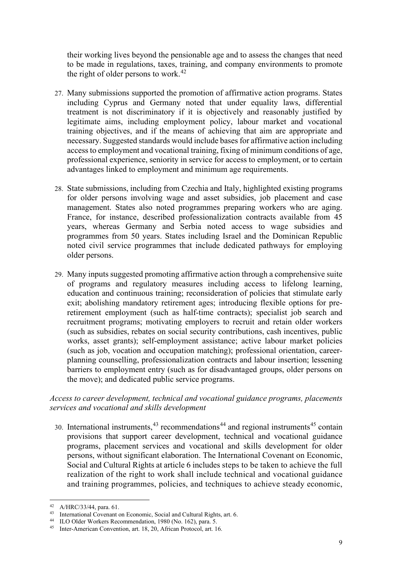their working lives beyond the pensionable age and to assess the changes that need to be made in regulations, taxes, training, and company environments to promote the right of older persons to work.<sup>[42](#page-8-0)</sup>

- 27. Many submissions supported the promotion of affirmative action programs. States including Cyprus and Germany noted that under equality laws, differential treatment is not discriminatory if it is objectively and reasonably justified by legitimate aims, including employment policy, labour market and vocational training objectives, and if the means of achieving that aim are appropriate and necessary. Suggested standards would include bases for affirmative action including access to employment and vocational training, fixing of minimum conditions of age, professional experience, seniority in service for access to employment, or to certain advantages linked to employment and minimum age requirements.
- 28. State submissions, including from Czechia and Italy, highlighted existing programs for older persons involving wage and asset subsidies, job placement and case management. States also noted programmes preparing workers who are aging. France, for instance, described professionalization contracts available from 45 years, whereas Germany and Serbia noted access to wage subsidies and programmes from 50 years. States including Israel and the Dominican Republic noted civil service programmes that include dedicated pathways for employing older persons.
- 29. Many inputs suggested promoting affirmative action through a comprehensive suite of programs and regulatory measures including access to lifelong learning, education and continuous training; reconsideration of policies that stimulate early exit; abolishing mandatory retirement ages; introducing flexible options for preretirement employment (such as half-time contracts); specialist job search and recruitment programs; motivating employers to recruit and retain older workers (such as subsidies, rebates on social security contributions, cash incentives, public works, asset grants); self-employment assistance; active labour market policies (such as job, vocation and occupation matching); professional orientation, careerplanning counselling, professionalization contracts and labour insertion; lessening barriers to employment entry (such as for disadvantaged groups, older persons on the move); and dedicated public service programs.

### *Access to career development, technical and vocational guidance programs, placements services and vocational and skills development*

30. International instruments,  $43$  recommendations  $44$  and regional instruments  $45$  contain provisions that support career development, technical and vocational guidance programs, placement services and vocational and skills development for older persons, without significant elaboration. The International Covenant on Economic, Social and Cultural Rights at article 6 includes steps to be taken to achieve the full realization of the right to work shall include technical and vocational guidance and training programmes, policies, and techniques to achieve steady economic,

<span id="page-8-0"></span><sup>42</sup> A/HRC/33/44, para. 61.

<span id="page-8-1"></span><sup>43</sup> International Covenant on Economic, Social and Cultural Rights, art. 6.

<span id="page-8-2"></span><sup>44</sup> ILO Older Workers Recommendation, 1980 (No. 162), para. 5.

<span id="page-8-3"></span><sup>45</sup> Inter-American Convention, art. 18, 20, African Protocol, art. 16.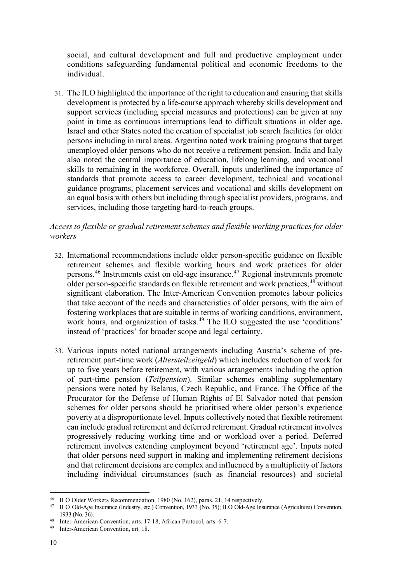social, and cultural development and full and productive employment under conditions safeguarding fundamental political and economic freedoms to the individual.

31. The ILO highlighted the importance of the right to education and ensuring that skills development is protected by a life-course approach whereby skills development and support services (including special measures and protections) can be given at any point in time as continuous interruptions lead to difficult situations in older age. Israel and other States noted the creation of specialist job search facilities for older persons including in rural areas. Argentina noted work training programs that target unemployed older persons who do not receive a retirement pension. India and Italy also noted the central importance of education, lifelong learning, and vocational skills to remaining in the workforce. Overall, inputs underlined the importance of standards that promote access to career development, technical and vocational guidance programs, placement services and vocational and skills development on an equal basis with others but including through specialist providers, programs, and services, including those targeting hard-to-reach groups.

## *Access to flexible or gradual retirement schemes and flexible working practices for older workers*

- 32. International recommendations include older person-specific guidance on flexible retirement schemes and flexible working hours and work practices for older persons.[46](#page-9-0) Instruments exist on old-age insurance.[47](#page-9-1) Regional instruments promote older person-specific standards on flexible retirement and work practices, <sup>48</sup> without significant elaboration. The Inter-American Convention promotes labour policies that take account of the needs and characteristics of older persons, with the aim of fostering workplaces that are suitable in terms of working conditions, environment, work hours, and organization of tasks.<sup>[49](#page-9-3)</sup> The ILO suggested the use 'conditions' instead of 'practices' for broader scope and legal certainty.
- 33. Various inputs noted national arrangements including Austria's scheme of preretirement part-time work (*Altersteilzeitgeld*) which includes reduction of work for up to five years before retirement, with various arrangements including the option of part-time pension (*Teilpension*). Similar schemes enabling supplementary pensions were noted by Belarus, Czech Republic, and France. The Office of the Procurator for the Defense of Human Rights of El Salvador noted that pension schemes for older persons should be prioritised where older person's experience poverty at a disproportionate level. Inputs collectively noted that flexible retirement can include gradual retirement and deferred retirement. Gradual retirement involves progressively reducing working time and or workload over a period. Deferred retirement involves extending employment beyond 'retirement age'. Inputs noted that older persons need support in making and implementing retirement decisions and that retirement decisions are complex and influenced by a multiplicity of factors including individual circumstances (such as financial resources) and societal

<span id="page-9-0"></span><sup>46</sup> ILO Older Workers Recommendation, 1980 (No. 162), paras. 21, 14 respectively.

<span id="page-9-1"></span><sup>47</sup> ILO Old-Age Insurance (Industry, etc.) Convention, 1933 (No. 35); ILO Old-Age Insurance (Agriculture) Convention, 1933 (No. 36).

<span id="page-9-2"></span><sup>48</sup> Inter-American Convention, arts. 17-18, African Protocol, arts. 6-7.

<span id="page-9-3"></span><sup>49</sup> Inter-American Convention, art. 18.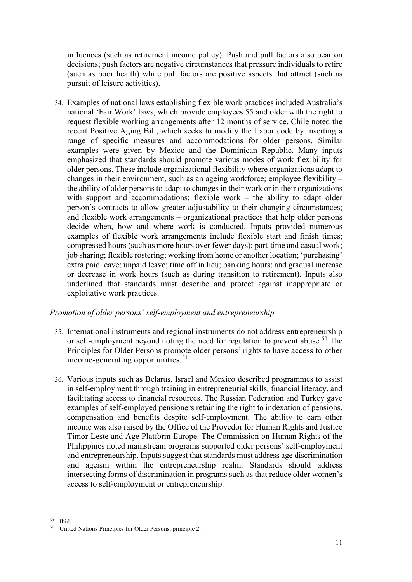influences (such as retirement income policy). Push and pull factors also bear on decisions; push factors are negative circumstances that pressure individuals to retire (such as poor health) while pull factors are positive aspects that attract (such as pursuit of leisure activities).

34. Examples of national laws establishing flexible work practices included Australia's national 'Fair Work' laws, which provide employees 55 and older with the right to request flexible working arrangements after 12 months of service. Chile noted the recent Positive Aging Bill, which seeks to modify the Labor code by inserting a range of specific measures and accommodations for older persons. Similar examples were given by Mexico and the Dominican Republic. Many inputs emphasized that standards should promote various modes of work flexibility for older persons. These include organizational flexibility where organizations adapt to changes in their environment, such as an ageing workforce; employee flexibility – the ability of older persons to adapt to changes in their work or in their organizations with support and accommodations; flexible work – the ability to adapt older person's contracts to allow greater adjustability to their changing circumstances; and flexible work arrangements – organizational practices that help older persons decide when, how and where work is conducted. Inputs provided numerous examples of flexible work arrangements include flexible start and finish times; compressed hours (such as more hours over fewer days); part-time and casual work; job sharing; flexible rostering; working from home or another location; 'purchasing' extra paid leave; unpaid leave; time off in lieu; banking hours; and gradual increase or decrease in work hours (such as during transition to retirement). Inputs also underlined that standards must describe and protect against inappropriate or exploitative work practices.

### *Promotion of older persons' self-employment and entrepreneurship*

- 35. International instruments and regional instruments do not address entrepreneurship or self-employment beyond noting the need for regulation to prevent abuse.<sup>[50](#page-10-0)</sup> The Principles for Older Persons promote older persons' rights to have access to other income-generating opportunities.<sup>[51](#page-10-1)</sup>
- 36. Various inputs such as Belarus, Israel and Mexico described programmes to assist in self-employment through training in entrepreneurial skills, financial literacy, and facilitating access to financial resources. The Russian Federation and Turkey gave examples of self-employed pensioners retaining the right to indexation of pensions, compensation and benefits despite self-employment. The ability to earn other income was also raised by the Office of the Provedor for Human Rights and Justice Timor-Leste and Age Platform Europe. The Commission on Human Rights of the Philippines noted mainstream programs supported older persons' self-employment and entrepreneurship. Inputs suggest that standards must address age discrimination and ageism within the entrepreneurship realm. Standards should address intersecting forms of discrimination in programs such as that reduce older women's access to self-employment or entrepreneurship.

<span id="page-10-0"></span><sup>50</sup> Ibid.

<span id="page-10-1"></span><sup>51</sup> United Nations Principles for Older Persons, principle 2.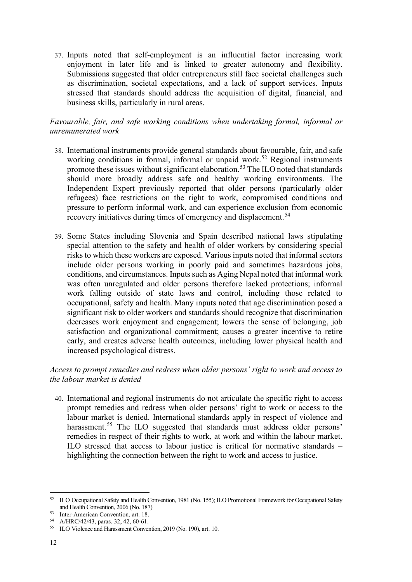37. Inputs noted that self-employment is an influential factor increasing work enjoyment in later life and is linked to greater autonomy and flexibility. Submissions suggested that older entrepreneurs still face societal challenges such as discrimination, societal expectations, and a lack of support services. Inputs stressed that standards should address the acquisition of digital, financial, and business skills, particularly in rural areas.

## *Favourable, fair, and safe working conditions when undertaking formal, informal or unremunerated work*

- 38. International instruments provide general standards about favourable, fair, and safe working conditions in formal, informal or unpaid work. [52](#page-11-0) Regional instruments promote these issues without significant elaboration.<sup>[53](#page-11-1)</sup> The ILO noted that standards should more broadly address safe and healthy working environments. The Independent Expert previously reported that older persons (particularly older refugees) face restrictions on the right to work, compromised conditions and pressure to perform informal work, and can experience exclusion from economic recovery initiatives during times of emergency and displacement.<sup>[54](#page-11-2)</sup>
- 39. Some States including Slovenia and Spain described national laws stipulating special attention to the safety and health of older workers by considering special risks to which these workers are exposed. Various inputs noted that informal sectors include older persons working in poorly paid and sometimes hazardous jobs, conditions, and circumstances. Inputs such as Aging Nepal noted that informal work was often unregulated and older persons therefore lacked protections; informal work falling outside of state laws and control, including those related to occupational, safety and health. Many inputs noted that age discrimination posed a significant risk to older workers and standards should recognize that discrimination decreases work enjoyment and engagement; lowers the sense of belonging, job satisfaction and organizational commitment; causes a greater incentive to retire early, and creates adverse health outcomes, including lower physical health and increased psychological distress.

## *Access to prompt remedies and redress when older persons' right to work and access to the labour market is denied*

40. International and regional instruments do not articulate the specific right to access prompt remedies and redress when older persons' right to work or access to the labour market is denied. International standards apply in respect of violence and harassment.<sup>[55](#page-11-3)</sup> The ILO suggested that standards must address older persons' remedies in respect of their rights to work, at work and within the labour market. ILO stressed that access to labour justice is critical for normative standards – highlighting the connection between the right to work and access to justice.

<span id="page-11-0"></span><sup>52</sup> ILO Occupational Safety and Health Convention, 1981 (No. 155); ILO Promotional Framework for Occupational Safety and Health Convention, 2006 (No. 187)

<span id="page-11-1"></span><sup>53</sup> Inter-American Convention, art. 18.

<span id="page-11-2"></span><sup>54</sup> A/HRC/42/43, paras. 32, 42, 60-61.

<span id="page-11-3"></span><sup>55</sup> ILO Violence and Harassment Convention, 2019 (No. 190), art. 10.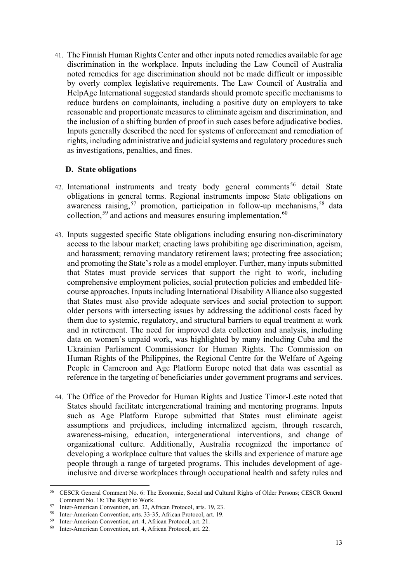41. The Finnish Human Rights Center and other inputs noted remedies available for age discrimination in the workplace. Inputs including the Law Council of Australia noted remedies for age discrimination should not be made difficult or impossible by overly complex legislative requirements. The Law Council of Australia and HelpAge International suggested standards should promote specific mechanisms to reduce burdens on complainants, including a positive duty on employers to take reasonable and proportionate measures to eliminate ageism and discrimination, and the inclusion of a shifting burden of proof in such cases before adjudicative bodies. Inputs generally described the need for systems of enforcement and remediation of rights, including administrative and judicial systems and regulatory procedures such as investigations, penalties, and fines.

### **D. State obligations**

- 42. International instruments and treaty body general comments<sup>[56](#page-12-0)</sup> detail State obligations in general terms. Regional instruments impose State obligations on awareness raising,<sup>57</sup> promotion, participation in follow-up mechanisms,<sup>[58](#page-12-2)</sup> data collection,  $59$  and actions and measures ensuring implementation.  $60$
- 43. Inputs suggested specific State obligations including ensuring non-discriminatory access to the labour market; enacting laws prohibiting age discrimination, ageism, and harassment; removing mandatory retirement laws; protecting free association; and promoting the State's role as a model employer. Further, many inputs submitted that States must provide services that support the right to work, including comprehensive employment policies, social protection policies and embedded lifecourse approaches. Inputs including International Disability Alliance also suggested that States must also provide adequate services and social protection to support older persons with intersecting issues by addressing the additional costs faced by them due to systemic, regulatory, and structural barriers to equal treatment at work and in retirement. The need for improved data collection and analysis, including data on women's unpaid work, was highlighted by many including Cuba and the Ukrainian Parliament Commissioner for Human Rights. The Commission on Human Rights of the Philippines, the Regional Centre for the Welfare of Ageing People in Cameroon and Age Platform Europe noted that data was essential as reference in the targeting of beneficiaries under government programs and services.
- 44. The Office of the Provedor for Human Rights and Justice Timor-Leste noted that States should facilitate intergenerational training and mentoring programs. Inputs such as Age Platform Europe submitted that States must eliminate ageist assumptions and prejudices, including internalized ageism, through research, awareness-raising, education, intergenerational interventions, and change of organizational culture. Additionally, Australia recognized the importance of developing a workplace culture that values the skills and experience of mature age people through a range of targeted programs. This includes development of ageinclusive and diverse workplaces through occupational health and safety rules and

<span id="page-12-0"></span><sup>56</sup> CESCR General Comment No. 6: The Economic, Social and Cultural Rights of Older Persons; CESCR General Comment No. 18: The Right to Work.

<span id="page-12-1"></span><sup>57</sup> Inter-American Convention, art. 32, African Protocol, arts. 19, 23.

<span id="page-12-2"></span><sup>58</sup> Inter-American Convention, arts. 33-35, African Protocol, art. 19.

<span id="page-12-3"></span><sup>59</sup> Inter-American Convention, art. 4, African Protocol, art. 21.

<span id="page-12-4"></span><sup>60</sup> Inter-American Convention, art. 4, African Protocol, art. 22.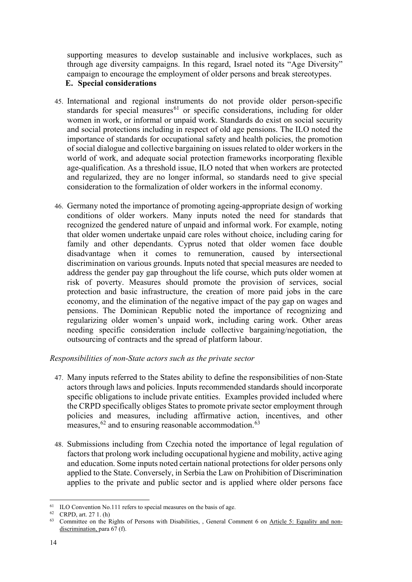supporting measures to develop sustainable and inclusive workplaces, such as through age diversity campaigns. In this regard, Israel noted its "Age Diversity" campaign to encourage the employment of older persons and break stereotypes.

## **E. Special considerations**

- 45. International and regional instruments do not provide older person-specific standards for special measures<sup>[61](#page-13-0)</sup> or specific considerations, including for older women in work, or informal or unpaid work. Standards do exist on social security and social protections including in respect of old age pensions. The ILO noted the importance of standards for occupational safety and health policies, the promotion of social dialogue and collective bargaining on issues related to older workers in the world of work, and adequate social protection frameworks incorporating flexible age-qualification. As a threshold issue, ILO noted that when workers are protected and regularized, they are no longer informal, so standards need to give special consideration to the formalization of older workers in the informal economy.
- 46. Germany noted the importance of promoting ageing-appropriate design of working conditions of older workers. Many inputs noted the need for standards that recognized the gendered nature of unpaid and informal work. For example, noting that older women undertake unpaid care roles without choice, including caring for family and other dependants. Cyprus noted that older women face double disadvantage when it comes to remuneration, caused by intersectional discrimination on various grounds. Inputs noted that special measures are needed to address the gender pay gap throughout the life course, which puts older women at risk of poverty. Measures should promote the provision of services, social protection and basic infrastructure, the creation of more paid jobs in the care economy, and the elimination of the negative impact of the pay gap on wages and pensions. The Dominican Republic noted the importance of recognizing and regularizing older women's unpaid work, including caring work. Other areas needing specific consideration include collective bargaining/negotiation, the outsourcing of contracts and the spread of platform labour.

## *Responsibilities of non-State actors such as the private sector*

- 47. Many inputs referred to the States ability to define the responsibilities of non-State actors through laws and policies. Inputs recommended standards should incorporate specific obligations to include private entities. Examples provided included where the CRPD specifically obliges States to promote private sector employment through policies and measures, including affirmative action, incentives, and other measures, <sup>[62](#page-13-1)</sup> and to ensuring reasonable accommodation. <sup>[63](#page-13-2)</sup>
- 48. Submissions including from Czechia noted the importance of legal regulation of factors that prolong work including occupational hygiene and mobility, active aging and education. Some inputs noted certain national protections for older persons only applied to the State. Conversely, in Serbia the Law on Prohibition of Discrimination applies to the private and public sector and is applied where older persons face

<span id="page-13-0"></span><sup>&</sup>lt;sup>61</sup> ILO Convention No.111 refers to special measures on the basis of age.<br><sup>62</sup> CRPD, art. 27 1. (h)

<span id="page-13-2"></span><span id="page-13-1"></span><sup>&</sup>lt;sup>63</sup> Committee on the Rights of Persons with Disabilities, , General Comment 6 on [Article 5: Equality and non](http://tbinternet.ohchr.org/_layouts/treatybodyexternal/Download.aspx?symbolno=CRPD/C/GC/6&Lang=en)[discrimination,](http://tbinternet.ohchr.org/_layouts/treatybodyexternal/Download.aspx?symbolno=CRPD/C/GC/6&Lang=en) para 67 (f).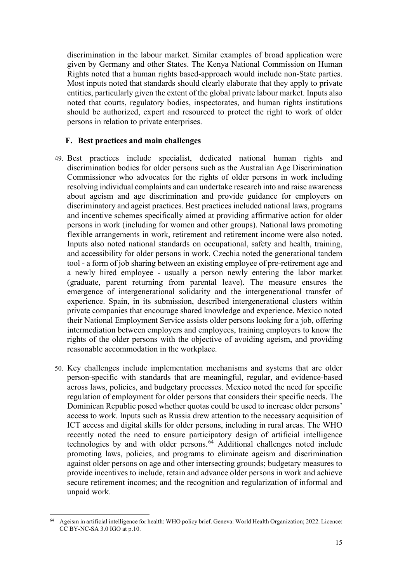discrimination in the labour market. Similar examples of broad application were given by Germany and other States. The Kenya National Commission on Human Rights noted that a human rights based-approach would include non-State parties. Most inputs noted that standards should clearly elaborate that they apply to private entities, particularly given the extent of the global private labour market. Inputs also noted that courts, regulatory bodies, inspectorates, and human rights institutions should be authorized, expert and resourced to protect the right to work of older persons in relation to private enterprises.

#### **F. Best practices and main challenges**

- 49. Best practices include specialist, dedicated national human rights and discrimination bodies for older persons such as the Australian Age Discrimination Commissioner who advocates for the rights of older persons in work including resolving individual complaints and can undertake research into and raise awareness about ageism and age discrimination and provide guidance for employers on discriminatory and ageist practices. Best practices included national laws, programs and incentive schemes specifically aimed at providing affirmative action for older persons in work (including for women and other groups). National laws promoting flexible arrangements in work, retirement and retirement income were also noted. Inputs also noted national standards on occupational, safety and health, training, and accessibility for older persons in work. Czechia noted the generational tandem tool - a form of job sharing between an existing employee of pre-retirement age and a newly hired employee - usually a person newly entering the labor market (graduate, parent returning from parental leave). The measure ensures the emergence of intergenerational solidarity and the intergenerational transfer of experience. Spain, in its submission, described intergenerational clusters within private companies that encourage shared knowledge and experience. Mexico noted their National Employment Service assists older persons looking for a job, offering intermediation between employers and employees, training employers to know the rights of the older persons with the objective of avoiding ageism, and providing reasonable accommodation in the workplace.
- 50. Key challenges include implementation mechanisms and systems that are older person-specific with standards that are meaningful, regular, and evidence-based across laws, policies, and budgetary processes. Mexico noted the need for specific regulation of employment for older persons that considers their specific needs. The Dominican Republic posed whether quotas could be used to increase older persons' access to work. Inputs such as Russia drew attention to the necessary acquisition of ICT access and digital skills for older persons, including in rural areas. The WHO recently noted the need to ensure participatory design of artificial intelligence technologies by and with older persons. [64](#page-14-0) Additional challenges noted include promoting laws, policies, and programs to eliminate ageism and discrimination against older persons on age and other intersecting grounds; budgetary measures to provide incentives to include, retain and advance older persons in work and achieve secure retirement incomes; and the recognition and regularization of informal and unpaid work.

<span id="page-14-0"></span><sup>64</sup> Ageism in artificial intelligence for health: WHO policy brief. Geneva: World Health Organization; 2022. Licence:  $CC$  BY-NC-SA 3.0 IGO at p.10.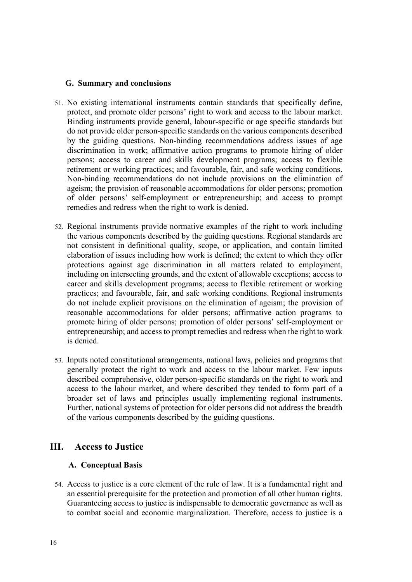### **G. Summary and conclusions**

- 51. No existing international instruments contain standards that specifically define, protect, and promote older persons' right to work and access to the labour market. Binding instruments provide general, labour-specific or age specific standards but do not provide older person-specific standards on the various components described by the guiding questions. Non-binding recommendations address issues of age discrimination in work; affirmative action programs to promote hiring of older persons; access to career and skills development programs; access to flexible retirement or working practices; and favourable, fair, and safe working conditions. Non-binding recommendations do not include provisions on the elimination of ageism; the provision of reasonable accommodations for older persons; promotion of older persons' self-employment or entrepreneurship; and access to prompt remedies and redress when the right to work is denied.
- 52. Regional instruments provide normative examples of the right to work including the various components described by the guiding questions. Regional standards are not consistent in definitional quality, scope, or application, and contain limited elaboration of issues including how work is defined; the extent to which they offer protections against age discrimination in all matters related to employment, including on intersecting grounds, and the extent of allowable exceptions; access to career and skills development programs; access to flexible retirement or working practices; and favourable, fair, and safe working conditions. Regional instruments do not include explicit provisions on the elimination of ageism; the provision of reasonable accommodations for older persons; affirmative action programs to promote hiring of older persons; promotion of older persons' self-employment or entrepreneurship; and access to prompt remedies and redress when the right to work is denied.
- 53. Inputs noted constitutional arrangements, national laws, policies and programs that generally protect the right to work and access to the labour market. Few inputs described comprehensive, older person-specific standards on the right to work and access to the labour market, and where described they tended to form part of a broader set of laws and principles usually implementing regional instruments. Further, national systems of protection for older persons did not address the breadth of the various components described by the guiding questions.

## **III. Access to Justice**

### **A. Conceptual Basis**

54. Access to justice is a core element of the rule of law. It is a fundamental right and an essential prerequisite for the protection and promotion of all other human rights. Guaranteeing access to justice is indispensable to democratic governance as well as to combat social and economic marginalization. Therefore, access to justice is a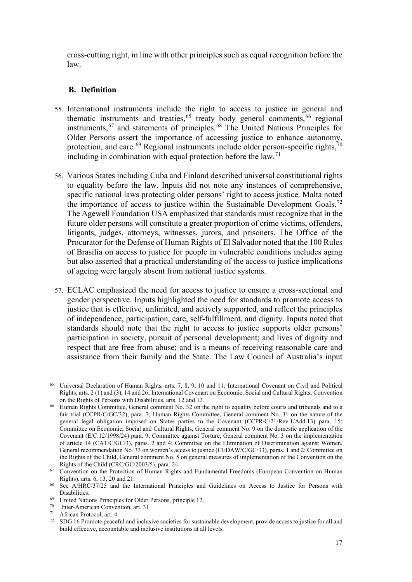cross-cutting right, in line with other principles such as equal recognition before the law.

### **B. Definition**

- 55. International instruments include the right to access to justice in general and thematic instruments and treaties,  $65$  treaty body general comments,  $66$  regional instruments,<sup>67</sup> and statements of principles.<sup>[68](#page-16-3)</sup> The United Nations Principles for Older Persons assert the importance of accessing justice to enhance autonomy, protection, and care.<sup>[69](#page-16-4)</sup> Regional instruments include older person-specific rights,<sup>[70](#page-16-5)</sup> including in combination with equal protection before the law.<sup>[71](#page-16-6)</sup>
- 56. Various States including Cuba and Finland described universal constitutional rights to equality before the law. Inputs did not note any instances of comprehensive, specific national laws protecting older persons' right to access justice. Malta noted the importance of access to justice within the Sustainable Development Goals.<sup>[72](#page-16-7)</sup> The Agewell Foundation USA emphasized that standards must recognize that in the future older persons will constitute a greater proportion of crime victims, offenders, litigants, judges, attorneys, witnesses, jurors, and prisoners. The Office of the Procurator for the Defense of Human Rights of El Salvador noted that the 100 Rules of Brasilia on access to justice for people in vulnerable conditions includes aging but also asserted that a practical understanding of the access to justice implications of ageing were largely absent from national justice systems.
- 57. ECLAC emphasized the need for access to justice to ensure a cross-sectional and gender perspective. Inputs highlighted the need for standards to promote access to justice that is effective, unlimited, and actively supported, and reflect the principles of independence, participation, care, self-fulfillment, and dignity. Inputs noted that standards should note that the right to access to justice supports older persons' participation in society, pursuit of personal development; and lives of dignity and respect that are free from abuse; and is a means of receiving reasonable care and assistance from their family and the State. The Law Council of Australia's input

- <span id="page-16-5"></span>70 Inter-American Convention, art. 31.
- <span id="page-16-7"></span><span id="page-16-6"></span><sup>71</sup> African Protocol, art. 4.<br> $^{72}$  SDC 16 Promote negative

<span id="page-16-0"></span><sup>65</sup> Universal Declaration of Human Rights, arts. 7, 8, 9, 10 and 11; International Covenant on Civil and Political Rights, arts. 2 (1) and (3), 14 and 26; International Covenant on Economic, Social and Cultural Rights; Convention on the Rights of Persons with Disabilities, arts. 12 and 13.

<span id="page-16-1"></span><sup>&</sup>lt;sup>66</sup> Human Rights Committee, General comment No. 32 on the right to equality before courts and tribunals and to a fair trial (CCPR/C/GC/32), para. 7; Human Rights Committee, General comment No. 31 on the nature of the general legal obligation imposed on States parties to the Covenant (CCPR/C/21/Rev.1/Add.13) para. 15; Committee on Economic, Social and Cultural Rights, General comment No. 9 on the domestic application of the Covenant (E/C.12/1998/24) para. 9; Committee against Torture, General comment No. 3 on the implementation of article 14 (CAT/C/GC/3), paras. 2 and 4; Committee on the Elimination of Discrimination against Women, General recommendation No. 33 on women's access to justice (CEDAW/C/GC/33), paras. 1 and 2; Committee on the Rights of the Child, General comment No. 5 on general measures of implementation of the Convention on the Rights of the Child (CRC/GC/2003/5), para. 24.

<span id="page-16-2"></span><sup>&</sup>lt;sup>67</sup> Convention on the Protection of Human Rights and Fundamental Freedoms (European Convention on Human Rights), arts. 6, 13, 20 and 21.

<span id="page-16-3"></span><sup>&</sup>lt;sup>68</sup> See A/HRC/37/25 and the International Principles and Guidelines on Access to Justice for Persons with Disabilities.

<span id="page-16-4"></span><sup>69</sup> United Nations Principles for Older Persons, principle 12.

<sup>72</sup> SDG 16 Promote peaceful and inclusive societies for sustainable development, provide access to justice for all and build effective, accountable and inclusive institutions at all levels.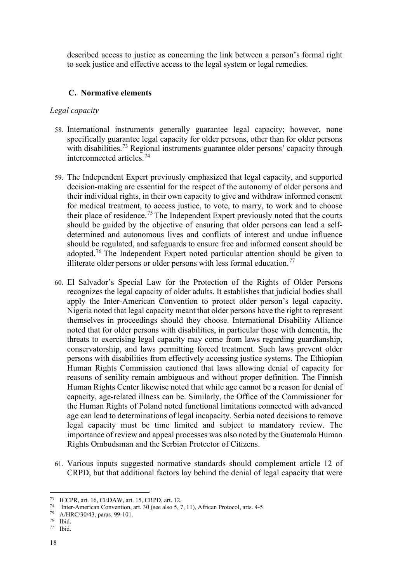described access to justice as concerning the link between a person's formal right to seek justice and effective access to the legal system or legal remedies.

### **C. Normative elements**

#### *Legal capacity*

- 58. International instruments generally guarantee legal capacity; however, none specifically guarantee legal capacity for older persons, other than for older persons with disabilities.<sup>[73](#page-17-0)</sup> Regional instruments guarantee older persons' capacity through interconnected articles. [74](#page-17-1)
- 59. The Independent Expert previously emphasized that legal capacity, and supported decision-making are essential for the respect of the autonomy of older persons and their individual rights, in their own capacity to give and withdraw informed consent for medical treatment, to access justice, to vote, to marry, to work and to choose their place of residence.<sup>[75](#page-17-2)</sup> The Independent Expert previously noted that the courts should be guided by the objective of ensuring that older persons can lead a selfdetermined and autonomous lives and conflicts of interest and undue influence should be regulated, and safeguards to ensure free and informed consent should be adopted.<sup>[76](#page-17-3)</sup> The Independent Expert noted particular attention should be given to illiterate older persons or older persons with less formal education.<sup>[77](#page-17-4)</sup>
- 60. El Salvador's Special Law for the Protection of the Rights of Older Persons recognizes the legal capacity of older adults. It establishes that judicial bodies shall apply the Inter-American Convention to protect older person's legal capacity. Nigeria noted that legal capacity meant that older persons have the right to represent themselves in proceedings should they choose. International Disability Alliance noted that for older persons with disabilities, in particular those with dementia, the threats to exercising legal capacity may come from laws regarding guardianship, conservatorship, and laws permitting forced treatment. Such laws prevent older persons with disabilities from effectively accessing justice systems. The Ethiopian Human Rights Commission cautioned that laws allowing denial of capacity for reasons of senility remain ambiguous and without proper definition. The Finnish Human Rights Center likewise noted that while age cannot be a reason for denial of capacity, age-related illness can be. Similarly, the Office of the Commissioner for the Human Rights of Poland noted functional limitations connected with advanced age can lead to determinations of legal incapacity. Serbia noted decisions to remove legal capacity must be time limited and subject to mandatory review. The importance of review and appeal processes was also noted by the Guatemala Human Rights Ombudsman and the Serbian Protector of Citizens.
- 61. Various inputs suggested normative standards should complement article 12 of CRPD, but that additional factors lay behind the denial of legal capacity that were

<span id="page-17-4"></span><sup>77</sup> Ibid.

<span id="page-17-0"></span><sup>73</sup> ICCPR, art. 16, CEDAW, art. 15, CRPD, art. 12.

<span id="page-17-1"></span><sup>74</sup> Inter-American Convention, art. 30 (see also 5, 7, 11), African Protocol, arts. 4-5.

<span id="page-17-2"></span><sup>75</sup> A/HRC/30/43, paras. 99-101.

<span id="page-17-3"></span><sup>76</sup> Ibid.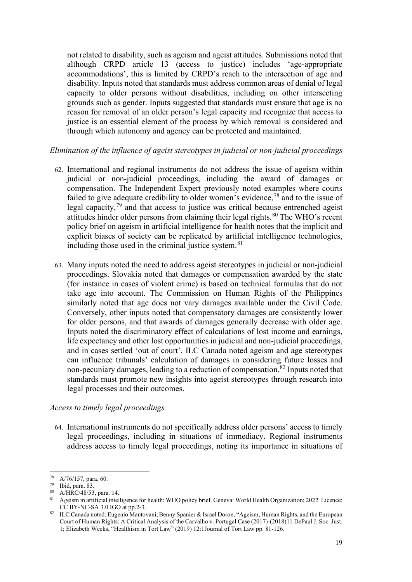not related to disability, such as ageism and ageist attitudes. Submissions noted that although CRPD article 13 (access to justice) includes 'age-appropriate accommodations', this is limited by CRPD's reach to the intersection of age and disability. Inputs noted that standards must address common areas of denial of legal capacity to older persons without disabilities, including on other intersecting grounds such as gender. Inputs suggested that standards must ensure that age is no reason for removal of an older person's legal capacity and recognize that access to justice is an essential element of the process by which removal is considered and through which autonomy and agency can be protected and maintained.

### *Elimination of the influence of ageist stereotypes in judicial or non-judicial proceedings*

- 62. International and regional instruments do not address the issue of ageism within judicial or non-judicial proceedings, including the award of damages or compensation. The Independent Expert previously noted examples where courts failed to give adequate credibility to older women's evidence,<sup>78</sup> and to the issue of legal capacity,<sup>[79](#page-18-1)</sup> and that access to justice was critical because entrenched ageist attitudes hinder older persons from claiming their legal rights.<sup>[80](#page-18-2)</sup> The WHO's recent policy brief on ageism in artificial intelligence for health notes that the implicit and explicit biases of society can be replicated by artificial intelligence technologies, including those used in the criminal justice system.<sup>[81](#page-18-3)</sup>
- 63. Many inputs noted the need to address ageist stereotypes in judicial or non-judicial proceedings. Slovakia noted that damages or compensation awarded by the state (for instance in cases of violent crime) is based on technical formulas that do not take age into account. The Commission on Human Rights of the Philippines similarly noted that age does not vary damages available under the Civil Code. Conversely, other inputs noted that compensatory damages are consistently lower for older persons, and that awards of damages generally decrease with older age. Inputs noted the discriminatory effect of calculations of lost income and earnings, life expectancy and other lost opportunities in judicial and non-judicial proceedings, and in cases settled 'out of court'. ILC Canada noted ageism and age stereotypes can influence tribunals' calculation of damages in considering future losses and non-pecuniary damages, leading to a reduction of compensation.<sup>[82](#page-18-4)</sup> Inputs noted that standards must promote new insights into ageist stereotypes through research into legal processes and their outcomes.

#### *Access to timely legal proceedings*

64. International instruments do not specifically address older persons' access to timely legal proceedings, including in situations of immediacy. Regional instruments address access to timely legal proceedings, noting its importance in situations of

<span id="page-18-0"></span><sup>78</sup> A/76/157, para. 60.

<span id="page-18-1"></span><sup>79</sup> Ibid, para. 83.

<span id="page-18-2"></span><sup>80</sup> A/HRC/48/53, para. 14.

<span id="page-18-3"></span><sup>81</sup> Ageism in artificial intelligence for health: WHO policy brief. Geneva: World Health Organization; 2022. Licence: CC BY-NC-SA 3.0 IGO at pp.2-3.

<span id="page-18-4"></span><sup>82</sup> ILC Canada noted: Eugenio Mantovani, Benny Spanier & Israel Doron, "Ageism, Human Rights, and the European Court of Human Rights: A Critical Analysis of the Carvalho v. Portugal Case (2017)-(2018)11 DePaul J. Soc. Just. 1; Elizabeth Weeks, "Healthism in Tort Law" (2019) 12:1Journal of Tort Law pp. 81-126.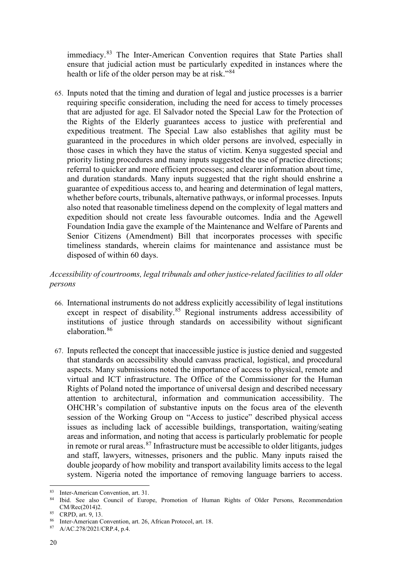immediacy.<sup>[83](#page-19-0)</sup> The Inter-American Convention requires that State Parties shall ensure that judicial action must be particularly expedited in instances where the health or life of the older person may be at risk."<sup>[84](#page-19-1)</sup>

65. Inputs noted that the timing and duration of legal and justice processes is a barrier requiring specific consideration, including the need for access to timely processes that are adjusted for age. El Salvador noted the Special Law for the Protection of the Rights of the Elderly guarantees access to justice with preferential and expeditious treatment. The Special Law also establishes that agility must be guaranteed in the procedures in which older persons are involved, especially in those cases in which they have the status of victim. Kenya suggested special and priority listing procedures and many inputs suggested the use of practice directions; referral to quicker and more efficient processes; and clearer information about time, and duration standards. Many inputs suggested that the right should enshrine a guarantee of expeditious access to, and hearing and determination of legal matters, whether before courts, tribunals, alternative pathways, or informal processes. Inputs also noted that reasonable timeliness depend on the complexity of legal matters and expedition should not create less favourable outcomes. India and the Agewell Foundation India gave the example of the Maintenance and Welfare of Parents and Senior Citizens (Amendment) Bill that incorporates processes with specific timeliness standards, wherein claims for maintenance and assistance must be disposed of within 60 days.

## *Accessibility of courtrooms, legal tribunals and other justice-related facilities to all older persons*

- 66. International instruments do not address explicitly accessibility of legal institutions except in respect of disability.<sup>[85](#page-19-2)</sup> Regional instruments address accessibility of institutions of justice through standards on accessibility without significant elaboration. [86](#page-19-3)
- 67. Inputs reflected the concept that inaccessible justice is justice denied and suggested that standards on accessibility should canvass practical, logistical, and procedural aspects. Many submissions noted the importance of access to physical, remote and virtual and ICT infrastructure. The Office of the Commissioner for the Human Rights of Poland noted the importance of universal design and described necessary attention to architectural, information and communication accessibility. The OHCHR's compilation of substantive inputs on the focus area of the eleventh session of the Working Group on "Access to justice" described physical access issues as including lack of accessible buildings, transportation, waiting/seating areas and information, and noting that access is particularly problematic for people in remote or rural areas.  $87$  Infrastructure must be accessible to older litigants, judges and staff, lawyers, witnesses, prisoners and the public. Many inputs raised the double jeopardy of how mobility and transport availability limits access to the legal system. Nigeria noted the importance of removing language barriers to access.

<span id="page-19-0"></span><sup>83</sup> Inter-American Convention, art. 31.

<span id="page-19-1"></span><sup>84</sup> Ibid. See also Council of Europe, Promotion of Human Rights of Older Persons, Recommendation CM/Rec(2014)2.<br><sup>85</sup> CRPD, art. 9, 13.

<span id="page-19-4"></span><span id="page-19-3"></span><span id="page-19-2"></span><sup>86</sup> Inter-American Convention, art. 26, African Protocol, art. 18.

<sup>87</sup> A/AC.278/2021/CRP.4, p.4.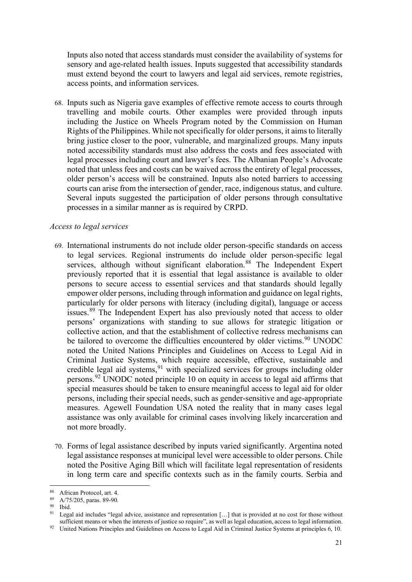Inputs also noted that access standards must consider the availability of systems for sensory and age-related health issues. Inputs suggested that accessibility standards must extend beyond the court to lawyers and legal aid services, remote registries, access points, and information services.

68. Inputs such as Nigeria gave examples of effective remote access to courts through travelling and mobile courts. Other examples were provided through inputs including the Justice on Wheels Program noted by the Commission on Human Rights of the Philippines. While not specifically for older persons, it aims to literally bring justice closer to the poor, vulnerable, and marginalized groups. Many inputs noted accessibility standards must also address the costs and fees associated with legal processes including court and lawyer's fees. The Albanian People's Advocate noted that unless fees and costs can be waived across the entirety of legal processes, older person's access will be constrained. Inputs also noted barriers to accessing courts can arise from the intersection of gender, race, indigenous status, and culture. Several inputs suggested the participation of older persons through consultative processes in a similar manner as is required by CRPD.

#### *Access to legal services*

- 69. International instruments do not include older person-specific standards on access to legal services. Regional instruments do include older person-specific legal services, although without significant elaboration.<sup>[88](#page-20-0)</sup> The Independent Expert previously reported that it is essential that legal assistance is available to older persons to secure access to essential services and that standards should legally empower older persons, including through information and guidance on legal rights, particularly for older persons with literacy (including digital), language or access issues.<sup>[89](#page-20-1)</sup> The Independent Expert has also previously noted that access to older persons' organizations with standing to sue allows for strategic litigation or collective action, and that the establishment of collective redress mechanisms can be tailored to overcome the difficulties encountered by older victims.<sup>[90](#page-20-2)</sup> UNODC noted the United Nations Principles and Guidelines on Access to Legal Aid in Criminal Justice Systems, which require accessible, effective, sustainable and credible legal aid systems,  $91$  with specialized services for groups including older persons.<sup>[92](#page-20-4)</sup> UNODC noted principle 10 on equity in access to legal aid affirms that special measures should be taken to ensure meaningful access to legal aid for older persons, including their special needs, such as gender‐sensitive and age-appropriate measures. Agewell Foundation USA noted the reality that in many cases legal assistance was only available for criminal cases involving likely incarceration and not more broadly.
- 70. Forms of legal assistance described by inputs varied significantly. Argentina noted legal assistance responses at municipal level were accessible to older persons. Chile noted the Positive Aging Bill which will facilitate legal representation of residents in long term care and specific contexts such as in the family courts. Serbia and

<span id="page-20-3"></span><span id="page-20-2"></span> $^{90}$  Ibid.

<span id="page-20-0"></span><sup>88</sup> African Protocol, art. 4.

<span id="page-20-1"></span><sup>89</sup> A/75/205, paras. 89-90.

Legal aid includes "legal advice, assistance and representation [...] that is provided at no cost for those without sufficient means or when the interests of justice so require", as well as legal education, access to legal information.

<span id="page-20-4"></span><sup>&</sup>lt;sup>92</sup> United Nations Principles and Guidelines on Access to Legal Aid in Criminal Justice Systems at principles 6, 10.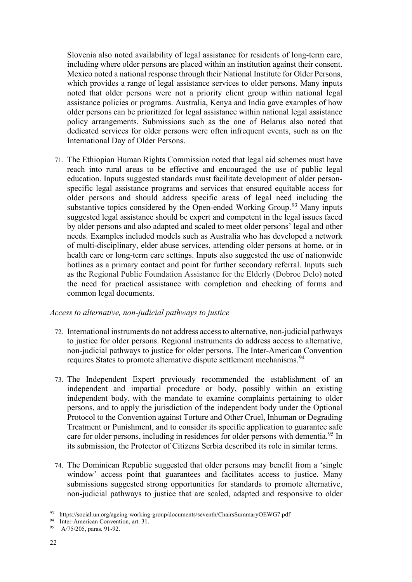Slovenia also noted availability of legal assistance for residents of long-term care, including where older persons are placed within an institution against their consent. Mexico noted a national response through their National Institute for Older Persons, which provides a range of legal assistance services to older persons. Many inputs noted that older persons were not a priority client group within national legal assistance policies or programs. Australia, Kenya and India gave examples of how older persons can be prioritized for legal assistance within national legal assistance policy arrangements. Submissions such as the one of Belarus also noted that dedicated services for older persons were often infrequent events, such as on the International Day of Older Persons.

71. The Ethiopian Human Rights Commission noted that legal aid schemes must have reach into rural areas to be effective and encouraged the use of public legal education. Inputs suggested standards must facilitate development of older personspecific legal assistance programs and services that ensured equitable access for older persons and should address specific areas of legal need including the substantive topics considered by the Open-ended Working Group.<sup>[93](#page-21-0)</sup> Many inputs suggested legal assistance should be expert and competent in the legal issues faced by older persons and also adapted and scaled to meet older persons' legal and other needs. Examples included models such as Australia who has developed a network of multi-disciplinary, elder abuse services, attending older persons at home, or in health care or long-term care settings. Inputs also suggested the use of nationwide hotlines as a primary contact and point for further secondary referral. Inputs such as the Regional Public Foundation Assistance for the Elderly (Dobroe Delo) noted the need for practical assistance with completion and checking of forms and common legal documents.

### *Access to alternative, non-judicial pathways to justice*

- 72. International instruments do not address access to alternative, non-judicial pathways to justice for older persons. Regional instruments do address access to alternative, non-judicial pathways to justice for older persons. The Inter-American Convention requires States to promote alternative dispute settlement mechanisms.<sup>[94](#page-21-1)</sup>
- 73. The Independent Expert previously recommended the establishment of an independent and impartial procedure or body, possibly within an existing independent body, with the mandate to examine complaints pertaining to older persons, and to apply the jurisdiction of the independent body under the Optional Protocol to the Convention against Torture and Other Cruel, Inhuman or Degrading Treatment or Punishment, and to consider its specific application to guarantee safe care for older persons, including in residences for older persons with dementia.<sup>[95](#page-21-2)</sup> In its submission, the Protector of Citizens Serbia described its role in similar terms.
- 74. The Dominican Republic suggested that older persons may benefit from a 'single window' access point that guarantees and facilitates access to justice. Many submissions suggested strong opportunities for standards to promote alternative, non-judicial pathways to justice that are scaled, adapted and responsive to older

<span id="page-21-0"></span><sup>93</sup> https://social.un.org/ageing-working-group/documents/seventh/ChairsSummaryOEWG7.pdf

<span id="page-21-1"></span><sup>94</sup> Inter-American Convention, art. 31.

<span id="page-21-2"></span><sup>95</sup> A/75/205, paras. 91-92.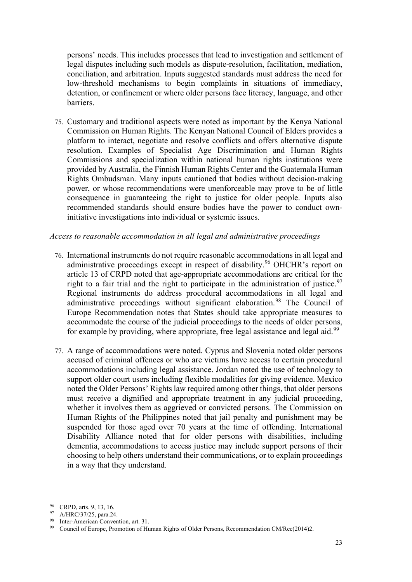persons' needs. This includes processes that lead to investigation and settlement of legal disputes including such models as dispute-resolution, facilitation, mediation, conciliation, and arbitration. Inputs suggested standards must address the need for low-threshold mechanisms to begin complaints in situations of immediacy, detention, or confinement or where older persons face literacy, language, and other barriers.

75. Customary and traditional aspects were noted as important by the Kenya National Commission on Human Rights. The Kenyan National Council of Elders provides a platform to interact, negotiate and resolve conflicts and offers alternative dispute resolution. Examples of Specialist Age Discrimination and Human Rights Commissions and specialization within national human rights institutions were provided by Australia, the Finnish Human Rights Center and the Guatemala Human Rights Ombudsman. Many inputs cautioned that bodies without decision-making power, or whose recommendations were unenforceable may prove to be of little consequence in guaranteeing the right to justice for older people. Inputs also recommended standards should ensure bodies have the power to conduct owninitiative investigations into individual or systemic issues.

#### *Access to reasonable accommodation in all legal and administrative proceedings*

- 76. International instruments do not require reasonable accommodations in all legal and administrative proceedings except in respect of disability.<sup>[96](#page-22-0)</sup> OHCHR's report on article 13 of CRPD noted that age-appropriate accommodations are critical for the right to a fair trial and the right to participate in the administration of justice.<sup>[97](#page-22-1)</sup> Regional instruments do address procedural accommodations in all legal and administrative proceedings without significant elaboration.<sup>[98](#page-22-2)</sup> The Council of Europe Recommendation notes that States should take appropriate measures to accommodate the course of the judicial proceedings to the needs of older persons, for example by providing, where appropriate, free legal assistance and legal aid.<sup>[99](#page-22-3)</sup>
- 77. A range of accommodations were noted. Cyprus and Slovenia noted older persons accused of criminal offences or who are victims have access to certain procedural accommodations including legal assistance. Jordan noted the use of technology to support older court users including flexible modalities for giving evidence. Mexico noted the Older Persons' Rights law required among other things, that older persons must receive a dignified and appropriate treatment in any judicial proceeding, whether it involves them as aggrieved or convicted persons. The Commission on Human Rights of the Philippines noted that jail penalty and punishment may be suspended for those aged over 70 years at the time of offending. International Disability Alliance noted that for older persons with disabilities, including dementia, accommodations to access justice may include support persons of their choosing to help others understand their communications, or to explain proceedings in a way that they understand.

<span id="page-22-0"></span><sup>96</sup> CRPD, arts. 9, 13, 16.

<span id="page-22-1"></span><sup>97</sup> A/HRC/37/25, para.24.

<span id="page-22-2"></span><sup>98</sup> Inter-American Convention, art. 31.

<span id="page-22-3"></span><sup>99</sup> Council of Europe, Promotion of Human Rights of Older Persons, Recommendation CM/Rec(2014)2.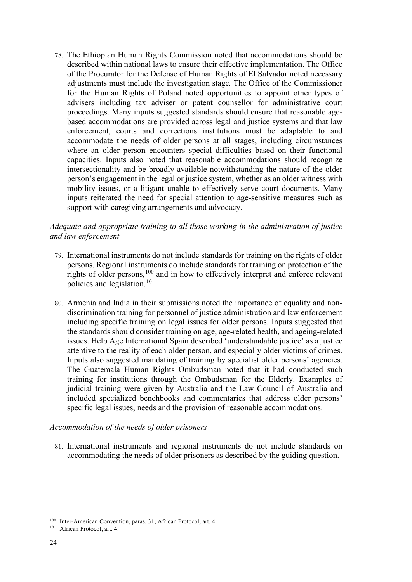78. The Ethiopian Human Rights Commission noted that accommodations should be described within national laws to ensure their effective implementation. The Office of the Procurator for the Defense of Human Rights of El Salvador noted necessary adjustments must include the investigation stage*.* The Office of the Commissioner for the Human Rights of Poland noted opportunities to appoint other types of advisers including tax adviser or patent counsellor for administrative court proceedings. Many inputs suggested standards should ensure that reasonable agebased accommodations are provided across legal and justice systems and that law enforcement, courts and corrections institutions must be adaptable to and accommodate the needs of older persons at all stages, including circumstances where an older person encounters special difficulties based on their functional capacities. Inputs also noted that reasonable accommodations should recognize intersectionality and be broadly available notwithstanding the nature of the older person's engagement in the legal or justice system, whether as an older witness with mobility issues, or a litigant unable to effectively serve court documents. Many inputs reiterated the need for special attention to age-sensitive measures such as support with caregiving arrangements and advocacy.

*Adequate and appropriate training to all those working in the administration of justice and law enforcement*

- 79. International instruments do not include standards for training on the rights of older persons. Regional instruments do include standards for training on protection of the rights of older persons, <sup>[100](#page-23-0)</sup> and in how to effectively interpret and enforce relevant policies and legislation. [101](#page-23-1)
- 80. Armenia and India in their submissions noted the importance of equality and nondiscrimination training for personnel of justice administration and law enforcement including specific training on legal issues for older persons. Inputs suggested that the standards should consider training on age, age-related health, and ageing-related issues. Help Age International Spain described 'understandable justice' as a justice attentive to the reality of each older person, and especially older victims of crimes. Inputs also suggested mandating of training by specialist older persons' agencies. The Guatemala Human Rights Ombudsman noted that it had conducted such training for institutions through the Ombudsman for the Elderly. Examples of judicial training were given by Australia and the Law Council of Australia and included specialized benchbooks and commentaries that address older persons' specific legal issues, needs and the provision of reasonable accommodations.

#### *Accommodation of the needs of older prisoners*

81. International instruments and regional instruments do not include standards on accommodating the needs of older prisoners as described by the guiding question.

<span id="page-23-0"></span><sup>100</sup> Inter-American Convention, paras. 31; African Protocol, art. 4.

<span id="page-23-1"></span><sup>101</sup> African Protocol, art. 4.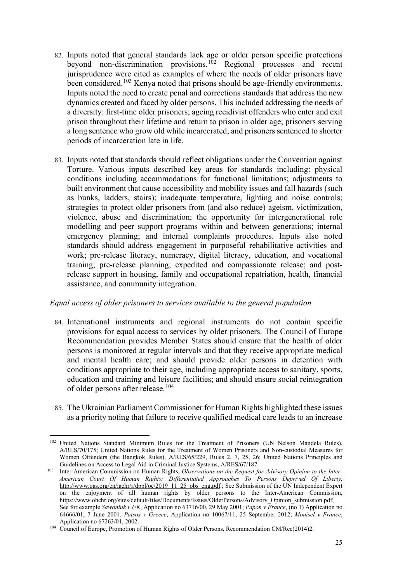- 82. Inputs noted that general standards lack age or older person specific protections beyond non-discrimination provisions.<sup>102</sup> Regional processes and recent jurisprudence were cited as examples of where the needs of older prisoners have been considered.<sup>[103](#page-24-1)</sup> Kenya noted that prisons should be age-friendly environments. Inputs noted the need to create penal and corrections standards that address the new dynamics created and faced by older persons. This included addressing the needs of a diversity: first-time older prisoners; ageing recidivist offenders who enter and exit prison throughout their lifetime and return to prison in older age; prisoners serving a long sentence who grow old while incarcerated; and prisoners sentenced to shorter periods of incarceration late in life.
- 83. Inputs noted that standards should reflect obligations under the Convention against Torture. Various inputs described key areas for standards including: physical conditions including accommodations for functional limitations; adjustments to built environment that cause accessibility and mobility issues and fall hazards (such as bunks, ladders, stairs); inadequate temperature, lighting and noise controls; strategies to protect older prisoners from (and also reduce) ageism, victimization, violence, abuse and discrimination; the opportunity for intergenerational role modelling and peer support programs within and between generations; internal emergency planning; and internal complaints procedures. Inputs also noted standards should address engagement in purposeful rehabilitative activities and work; pre-release literacy, numeracy, digital literacy, education, and vocational training; pre-release planning; expedited and compassionate release; and postrelease support in housing, family and occupational repatriation, health, financial assistance, and community integration.

### *Equal access of older prisoners to services available to the general population*

- 84. International instruments and regional instruments do not contain specific provisions for equal access to services by older prisoners. The Council of Europe Recommendation provides Member States should ensure that the health of older persons is monitored at regular intervals and that they receive appropriate medical and mental health care; and should provide older persons in detention with conditions appropriate to their age, including appropriate access to sanitary, sports, education and training and leisure facilities; and should ensure social reintegration of older persons after release.<sup>[104](#page-24-2)</sup>
- 85. The Ukrainian Parliament Commissioner for Human Rights highlighted these issues as a priority noting that failure to receive qualified medical care leads to an increase

<span id="page-24-0"></span><sup>&</sup>lt;sup>102</sup> United Nations Standard Minimum Rules for the Treatment of Prisoners (UN Nelson Mandela Rules), A/RES/70/175; United Nations Rules for the Treatment of Women Prisoners and Non-custodial Measures for Women Offenders (the Bangkok Rules), A/RES/65/229, Rules 2, 7, 25, 26; United Nations Principles and Guidelines on Access to Legal Aid in Criminal Justice Systems, A/RES/67/187.

<span id="page-24-1"></span><sup>&</sup>lt;sup>103</sup> Inter-American Commission on Human Rights, *Observations on the Request for Advisory Opinion to the Inter-American Court Of Human Rights: Differentiated Approaches To Persons Deprived Of Liberty*, [http://www.oas.org/en/iachr/r/dppl/oc/2019\\_11\\_25\\_obs\\_eng.pdf.;](http://www.oas.org/en/iachr/r/dppl/oc/2019_11_25_obs_eng.pdf) See Submission of the UN Independent Expert on the enjoyment of all human rights by older persons to the Inter-American Commission, [https://www.ohchr.org/sites/default/files/Documents/Issues/OlderPersons/Advisory\\_Opinion\\_submission.pdf;](https://www.ohchr.org/sites/default/files/Documents/Issues/OlderPersons/Advisory_Opinion_submission.pdf) See for example *Sawoniuk v UK*, Application no 63716/00, 29 May 2001; *Papon v France*, (no 1) Application no 64666/01, 7 June 2001, *Patsos v Greece*, Application no 10067/11, 25 September 2012; *Mouisel v France*, Application no 67263/01, 2002.

<span id="page-24-2"></span><sup>&</sup>lt;sup>104</sup> Council of Europe, Promotion of Human Rights of Older Persons, Recommendation CM/Rec(2014)2.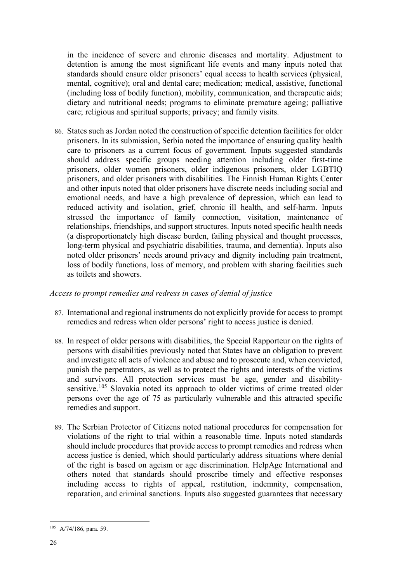in the incidence of severe and chronic diseases and mortality. Adjustment to detention is among the most significant life events and many inputs noted that standards should ensure older prisoners' equal access to health services (physical, mental, cognitive); oral and dental care; medication; medical, assistive, functional (including loss of bodily function), mobility, communication, and therapeutic aids; dietary and nutritional needs; programs to eliminate premature ageing; palliative care; religious and spiritual supports; privacy; and family visits.

86. States such as Jordan noted the construction of specific detention facilities for older prisoners. In its submission, Serbia noted the importance of ensuring quality health care to prisoners as a current focus of government. Inputs suggested standards should address specific groups needing attention including older first-time prisoners, older women prisoners, older indigenous prisoners, older LGBTIQ prisoners, and older prisoners with disabilities. The Finnish Human Rights Center and other inputs noted that older prisoners have discrete needs including social and emotional needs, and have a high prevalence of depression, which can lead to reduced activity and isolation, grief, chronic ill health, and self-harm. Inputs stressed the importance of family connection, visitation, maintenance of relationships, friendships, and support structures. Inputs noted specific health needs (a disproportionately high disease burden, failing physical and thought processes, long-term physical and psychiatric disabilities, trauma, and dementia). Inputs also noted older prisoners' needs around privacy and dignity including pain treatment, loss of bodily functions, loss of memory, and problem with sharing facilities such as toilets and showers.

### *Access to prompt remedies and redress in cases of denial of justice*

- 87. International and regional instruments do not explicitly provide for access to prompt remedies and redress when older persons' right to access justice is denied.
- 88. In respect of older persons with disabilities, the Special Rapporteur on the rights of persons with disabilities previously noted that States have an obligation to prevent and investigate all acts of violence and abuse and to prosecute and, when convicted, punish the perpetrators, as well as to protect the rights and interests of the victims and survivors. All protection services must be age, gender and disability-sensitive.<sup>[105](#page-25-0)</sup> Slovakia noted its approach to older victims of crime treated older persons over the age of 75 as particularly vulnerable and this attracted specific remedies and support.
- 89. The Serbian Protector of Citizens noted national procedures for compensation for violations of the right to trial within a reasonable time. Inputs noted standards should include procedures that provide access to prompt remedies and redress when access justice is denied, which should particularly address situations where denial of the right is based on ageism or age discrimination. HelpAge International and others noted that standards should proscribe timely and effective responses including access to rights of appeal, restitution, indemnity, compensation, reparation, and criminal sanctions. Inputs also suggested guarantees that necessary

<span id="page-25-0"></span><sup>105</sup> A/74/186, para. 59.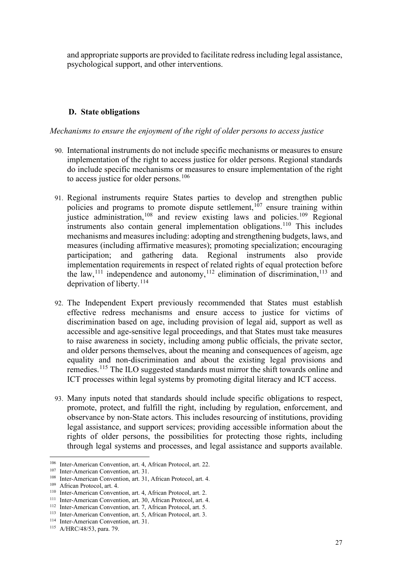and appropriate supports are provided to facilitate redress including legal assistance, psychological support, and other interventions.

### **D. State obligations**

*Mechanisms to ensure the enjoyment of the right of older persons to access justice* 

- 90. International instruments do not include specific mechanisms or measures to ensure implementation of the right to access justice for older persons. Regional standards do include specific mechanisms or measures to ensure implementation of the right to access justice for older persons.<sup>[106](#page-26-0)</sup>
- 91. Regional instruments require States parties to develop and strengthen public policies and programs to promote dispute settlement,<sup> $107$ </sup> ensure training within justice administration,<sup>[108](#page-26-2)</sup> and review existing laws and policies.<sup>109</sup> Regional instruments also contain general implementation obligations.<sup>[110](#page-26-4)</sup> This includes mechanisms and measures including: adopting and strengthening budgets, laws, and measures (including affirmative measures); promoting specialization; encouraging participation; and gathering data. Regional instruments also provide implementation requirements in respect of related rights of equal protection before the law,  $^{111}$  $^{111}$  $^{111}$  independence and autonomy,  $^{112}$  $^{112}$  $^{112}$  elimination of discrimination,  $^{113}$  $^{113}$  $^{113}$  and deprivation of liberty.<sup>114</sup>
- 92. The Independent Expert previously recommended that States must establish effective redress mechanisms and ensure access to justice for victims of discrimination based on age, including provision of legal aid, support as well as accessible and age-sensitive legal proceedings, and that States must take measures to raise awareness in society, including among public officials, the private sector, and older persons themselves, about the meaning and consequences of ageism, age equality and non-discrimination and about the existing legal provisions and remedies.[115](#page-26-9) The ILO suggested standards must mirror the shift towards online and ICT processes within legal systems by promoting digital literacy and ICT access.
- 93. Many inputs noted that standards should include specific obligations to respect, promote, protect, and fulfill the right, including by regulation, enforcement, and observance by non-State actors. This includes resourcing of institutions, providing legal assistance, and support services; providing accessible information about the rights of older persons, the possibilities for protecting those rights, including through legal systems and processes, and legal assistance and supports available.

<span id="page-26-0"></span><sup>106</sup> Inter-American Convention, art. 4, African Protocol, art. 22.

<span id="page-26-1"></span><sup>107</sup> Inter-American Convention, art. 31.

<span id="page-26-2"></span><sup>108</sup> Inter-American Convention, art. 31, African Protocol, art. 4.

<span id="page-26-3"></span><sup>109</sup> African Protocol, art. 4.

<span id="page-26-4"></span><sup>110</sup> Inter-American Convention, art. 4, African Protocol, art. 2.

<span id="page-26-5"></span><sup>111</sup> Inter-American Convention, art. 30, African Protocol, art. 4.

<span id="page-26-6"></span><sup>112</sup> Inter-American Convention, art. 7, African Protocol, art. 5.

<span id="page-26-7"></span><sup>113</sup> Inter-American Convention, art. 5, African Protocol, art. 3.

<span id="page-26-8"></span><sup>114</sup> Inter-American Convention, art. 31.

<span id="page-26-9"></span><sup>115</sup> A/HRC/48/53, para. 79.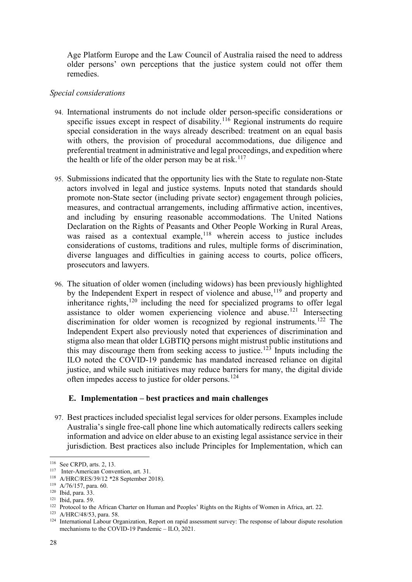Age Platform Europe and the Law Council of Australia raised the need to address older persons' own perceptions that the justice system could not offer them remedies.

### *Special considerations*

- 94. International instruments do not include older person-specific considerations or specific issues except in respect of disability.<sup>[116](#page-27-0)</sup> Regional instruments do require special consideration in the ways already described: treatment on an equal basis with others, the provision of procedural accommodations, due diligence and preferential treatment in administrative and legal proceedings, and expedition where the health or life of the older person may be at risk.<sup>[117](#page-27-1)</sup>
- 95. Submissions indicated that the opportunity lies with the State to regulate non-State actors involved in legal and justice systems. Inputs noted that standards should promote non-State sector (including private sector) engagement through policies, measures, and contractual arrangements, including affirmative action, incentives, and including by ensuring reasonable accommodations. The United Nations Declaration on the Rights of Peasants and Other People Working in Rural Areas, was raised as a contextual example,<sup>[118](#page-27-2)</sup> wherein access to justice includes considerations of customs, traditions and rules, multiple forms of discrimination, diverse languages and difficulties in gaining access to courts, police officers, prosecutors and lawyers.
- 96. The situation of older women (including widows) has been previously highlighted by the Independent Expert in respect of violence and abuse, <sup>[119](#page-27-3)</sup> and property and inheritance rights,<sup>[120](#page-27-4)</sup> including the need for specialized programs to offer legal assistance to older women experiencing violence and abuse.[121](#page-27-5) Intersecting discrimination for older women is recognized by regional instruments.<sup>[122](#page-27-6)</sup> The Independent Expert also previously noted that experiences of discrimination and stigma also mean that older LGBTIQ persons might mistrust public institutions and this may discourage them from seeking access to justice.<sup>[123](#page-27-7)</sup> Inputs including the ILO noted the COVID-19 pandemic has mandated increased reliance on digital justice, and while such initiatives may reduce barriers for many, the digital divide often impedes access to justice for older persons.<sup>[124](#page-27-8)</sup>

#### **E. Implementation – best practices and main challenges**

97. Best practices included specialist legal services for older persons. Examples include Australia's single free-call phone line which automatically redirects callers seeking information and advice on elder abuse to an existing legal assistance service in their jurisdiction. Best practices also include Principles for Implementation, which can

<span id="page-27-0"></span><sup>116</sup> See CRPD, arts. 2, 13.

<span id="page-27-1"></span><sup>117</sup> Inter-American Convention, art. 31.

<span id="page-27-2"></span><sup>118</sup> A/HRC/RES/39/12 \*28 September 2018).

<span id="page-27-3"></span><sup>119</sup> A/76/157, para. 60.

<span id="page-27-4"></span><sup>120</sup> Ibid, para. 33.

<span id="page-27-5"></span><sup>121</sup> Ibid, para. 59.

<span id="page-27-6"></span><sup>&</sup>lt;sup>122</sup> Protocol to the African Charter on Human and Peoples' Rights on the Rights of Women in Africa, art. 22.

<span id="page-27-7"></span><sup>123</sup> A/HRC/48/53, para. 58.

<span id="page-27-8"></span><sup>124</sup> International Labour Organization, Report on rapid assessment survey: The response of labour dispute resolution mechanisms to the COVID-19 Pandemic – ILO, 2021.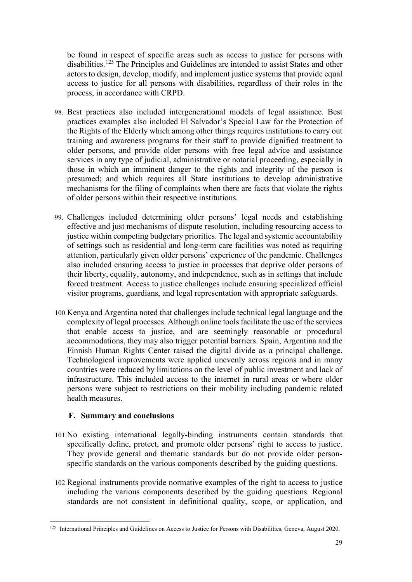be found in respect of specific areas such as access to justice for persons with disabilities.<sup>[125](#page-28-0)</sup> The Principles and Guidelines are intended to assist States and other actors to design, develop, modify, and implement justice systems that provide equal access to justice for all persons with disabilities, regardless of their roles in the process, in accordance with CRPD.

- 98. Best practices also included intergenerational models of legal assistance. Best practices examples also included El Salvador's Special Law for the Protection of the Rights of the Elderly which among other things requires institutions to carry out training and awareness programs for their staff to provide dignified treatment to older persons, and provide older persons with free legal advice and assistance services in any type of judicial, administrative or notarial proceeding, especially in those in which an imminent danger to the rights and integrity of the person is presumed; and which requires all State institutions to develop administrative mechanisms for the filing of complaints when there are facts that violate the rights of older persons within their respective institutions.
- 99. Challenges included determining older persons' legal needs and establishing effective and just mechanisms of dispute resolution, including resourcing access to justice within competing budgetary priorities. The legal and systemic accountability of settings such as residential and long-term care facilities was noted as requiring attention, particularly given older persons' experience of the pandemic. Challenges also included ensuring access to justice in processes that deprive older persons of their liberty, equality, autonomy, and independence, such as in settings that include forced treatment. Access to justice challenges include ensuring specialized official visitor programs, guardians, and legal representation with appropriate safeguards.
- 100.Kenya and Argentina noted that challenges include technical legal language and the complexity of legal processes. Although online tools facilitate the use of the services that enable access to justice, and are seemingly reasonable or procedural accommodations, they may also trigger potential barriers. Spain, Argentina and the Finnish Human Rights Center raised the digital divide as a principal challenge. Technological improvements were applied unevenly across regions and in many countries were reduced by limitations on the level of public investment and lack of infrastructure. This included access to the internet in rural areas or where older persons were subject to restrictions on their mobility including pandemic related health measures.

### **F. Summary and conclusions**

- 101.No existing international legally-binding instruments contain standards that specifically define, protect, and promote older persons' right to access to justice. They provide general and thematic standards but do not provide older personspecific standards on the various components described by the guiding questions.
- 102.Regional instruments provide normative examples of the right to access to justice including the various components described by the guiding questions. Regional standards are not consistent in definitional quality, scope, or application, and

<span id="page-28-0"></span><sup>&</sup>lt;sup>125</sup> International Principles and Guidelines on Access to Justice for Persons with Disabilities, Geneva, August 2020.